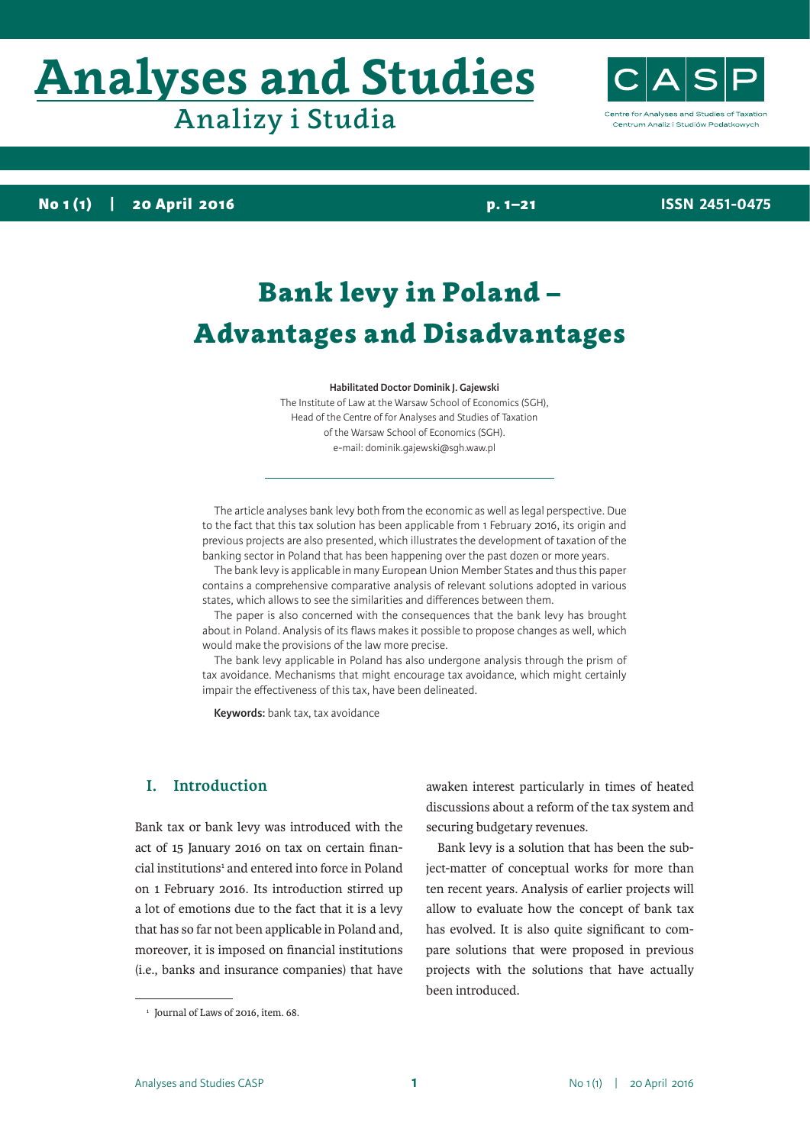# **Analyses and Studies** Analizy i Studia



**ISSN 2451-0475**

**No 1 (1) | 20 April 2016 p. 1–21**

## Bank levy in Poland – Advantages and Disadvantages

**Habilitated Doctor Dominik J. Gajewski**

The Institute of Law at the Warsaw School of Economics (SGH), Head of the Centre of for Analyses and Studies of Taxation of the Warsaw School of Economics (SGH). e-mail: dominik.gajewski@sgh.waw.pl

The article analyses bank levy both from the economic as well as legal perspective. Due to the fact that this tax solution has been applicable from 1 February 2016, its origin and previous projects are also presented, which illustrates the development of taxation of the banking sector in Poland that has been happening over the past dozen or more years.

The bank levy is applicable in many European Union Member States and thus this paper contains a comprehensive comparative analysis of relevant solutions adopted in various states, which allows to see the similarities and differences between them.

The paper is also concerned with the consequences that the bank levy has brought about in Poland. Analysis of its flaws makes it possible to propose changes as well, which would make the provisions of the law more precise.

The bank levy applicable in Poland has also undergone analysis through the prism of tax avoidance. Mechanisms that might encourage tax avoidance, which might certainly impair the effectiveness of this tax, have been delineated.

**Keywords:** bank tax, tax avoidance

#### **I. Introduction**

Bank tax or bank levy was introduced with the act of 15 January 2016 on tax on certain financial institutions<sup>1</sup> and entered into force in Poland on 1 February 2016. Its introduction stirred up a lot of emotions due to the fact that it is a levy that has so far not been applicable in Poland and, moreover, it is imposed on financial institutions (i.e., banks and insurance companies) that have

awaken interest particularly in times of heated discussions about a reform of the tax system and securing budgetary revenues.

Bank levy is a solution that has been the subject-matter of conceptual works for more than ten recent years. Analysis of earlier projects will allow to evaluate how the concept of bank tax has evolved. It is also quite significant to compare solutions that were proposed in previous projects with the solutions that have actually been introduced.

Analyses and Studies CASP **1 1** No 1(1) | 20 April 2016

<sup>&</sup>lt;sup>1</sup> Journal of Laws of 2016, item. 68.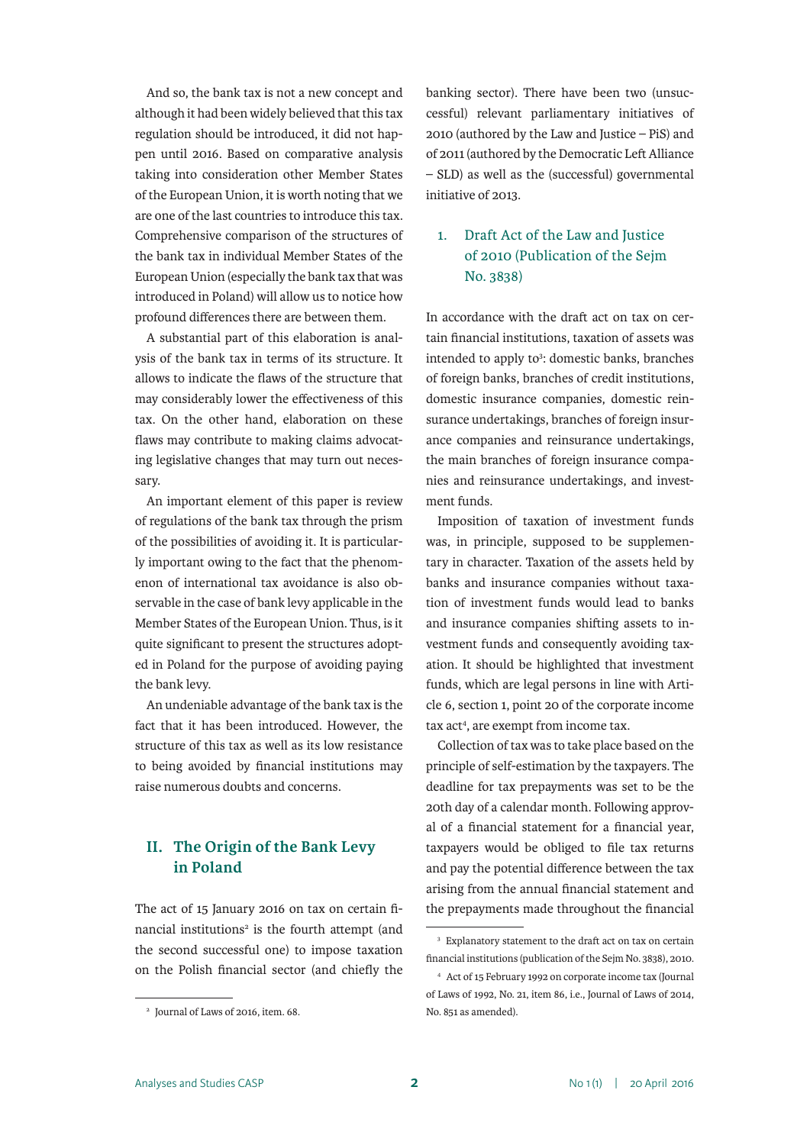And so, the bank tax is not a new concept and although it had been widely believed that this tax regulation should be introduced, it did not happen until 2016. Based on comparative analysis taking into consideration other Member States of the European Union, it is worth noting that we are one of the last countries to introduce this tax. Comprehensive comparison of the structures of the bank tax in individual Member States of the European Union (especially the bank tax that was introduced in Poland) will allow us to notice how profound differences there are between them.

A substantial part of this elaboration is analysis of the bank tax in terms of its structure. It allows to indicate the flaws of the structure that may considerably lower the effectiveness of this tax. On the other hand, elaboration on these flaws may contribute to making claims advocating legislative changes that may turn out necessary.

An important element of this paper is review of regulations of the bank tax through the prism of the possibilities of avoiding it. It is particularly important owing to the fact that the phenomenon of international tax avoidance is also observable in the case of bank levy applicable in the Member States of the European Union. Thus, is it quite significant to present the structures adopted in Poland for the purpose of avoiding paying the bank levy.

An undeniable advantage of the bank tax is the fact that it has been introduced. However, the structure of this tax as well as its low resistance to being avoided by financial institutions may raise numerous doubts and concerns.

#### **II. The Origin of the Bank Levy in Poland**

The act of 15 January 2016 on tax on certain financial institutions<sup>2</sup> is the fourth attempt (and the second successful one) to impose taxation on the Polish financial sector (and chiefly the

banking sector). There have been two (unsuccessful) relevant parliamentary initiatives of 2010 (authored by the Law and Justice – PiS) and of 2011 (authored by the Democratic Left Alliance – SLD) as well as the (successful) governmental initiative of 2013.

### 1. Draft Act of the Law and Justice of 2010 (Publication of the Sejm No. 3838)

In accordance with the draft act on tax on certain financial institutions, taxation of assets was intended to apply to<sup>3</sup>: domestic banks, branches of foreign banks, branches of credit institutions, domestic insurance companies, domestic reinsurance undertakings, branches of foreign insurance companies and reinsurance undertakings, the main branches of foreign insurance companies and reinsurance undertakings, and investment funds.

Imposition of taxation of investment funds was, in principle, supposed to be supplementary in character. Taxation of the assets held by banks and insurance companies without taxation of investment funds would lead to banks and insurance companies shifting assets to investment funds and consequently avoiding taxation. It should be highlighted that investment funds, which are legal persons in line with Article 6, section 1, point 20 of the corporate income tax act<sup>4</sup>, are exempt from income tax.

Collection of tax was to take place based on the principle of self-estimation by the taxpayers. The deadline for tax prepayments was set to be the 20th day of a calendar month. Following approval of a financial statement for a financial year, taxpayers would be obliged to file tax returns and pay the potential difference between the tax arising from the annual financial statement and the prepayments made throughout the financial

<sup>2</sup> Journal of Laws of 2016, item. 68.

<sup>&</sup>lt;sup>3</sup> Explanatory statement to the draft act on tax on certain financial institutions (publication of the Sejm No. 3838), 2010.

<sup>4</sup> Act of 15 February 1992 on corporate income tax (Journal of Laws of 1992, No. 21, item 86, i.e., Journal of Laws of 2014, No. 851 as amended).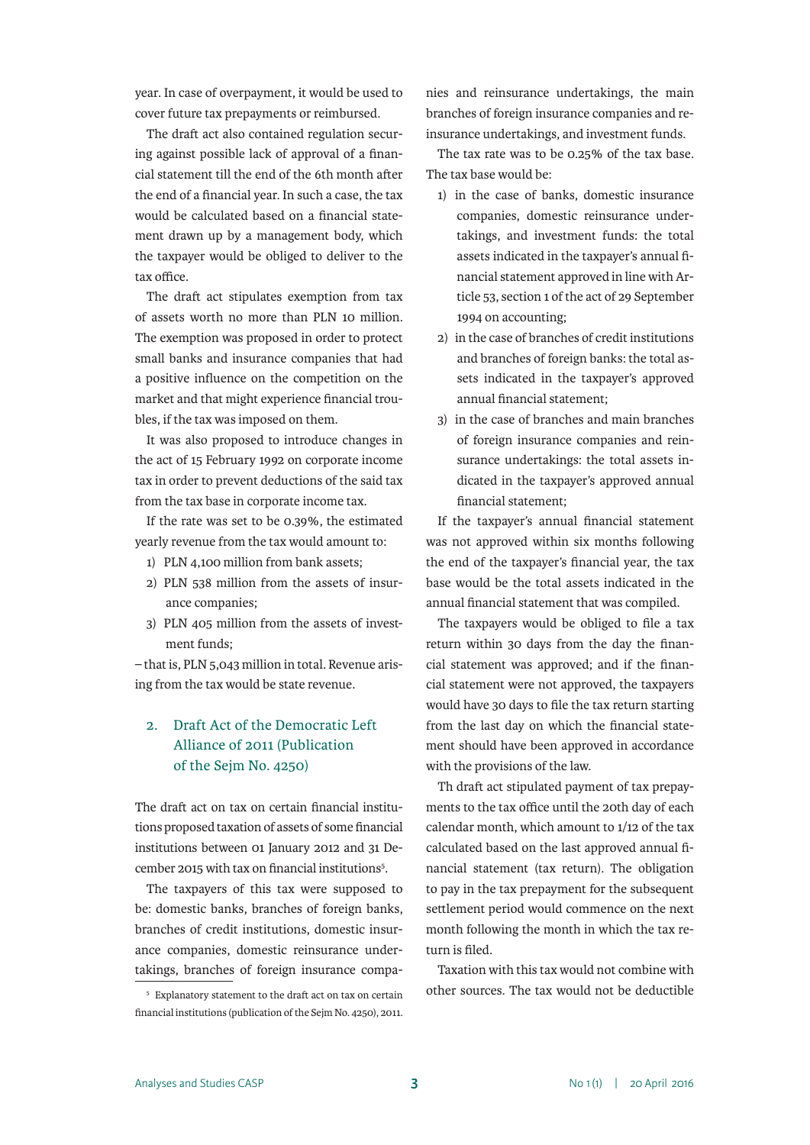year. In case of overpayment, it would be used to cover future tax prepayments or reimbursed.

The draft act also contained regulation securing against possible lack of approval of a financial statement till the end of the 6th month after the end of a financial year. In such a case, the tax would be calculated based on a financial statement drawn up by a management body, which the taxpayer would be obliged to deliver to the tax office.

The draft act stipulates exemption from tax of assets worth no more than PLN 10 million. The exemption was proposed in order to protect small banks and insurance companies that had a positive influence on the competition on the market and that might experience financial troubles, if the tax was imposed on them.

It was also proposed to introduce changes in the act of 15 February 1992 on corporate income tax in order to prevent deductions of the said tax from the tax base in corporate income tax.

If the rate was set to be 0.39%, the estimated yearly revenue from the tax would amount to:

- 1) PLN 4,100 million from bank assets;
- 2) PLN 538 million from the assets of insurance companies;
- 3) PLN 405 million from the assets of investment funds;

– that is, PLN 5,043 million in total. Revenue arising from the tax would be state revenue.

#### 2. Draft Act of the Democratic Left Alliance of 2011 (Publication of the Sejm No. 4250)

The draft act on tax on certain financial institutions proposed taxation of assets of some financial institutions between 01 January 2012 and 31 December 2015 with tax on financial institutions<sup>5</sup>.

The taxpayers of this tax were supposed to be: domestic banks, branches of foreign banks, branches of credit institutions, domestic insurance companies, domestic reinsurance undertakings, branches of foreign insurance companies and reinsurance undertakings, the main branches of foreign insurance companies and reinsurance undertakings, and investment funds.

The tax rate was to be 0.25% of the tax base. The tax base would be:

- 1) in the case of banks, domestic insurance companies, domestic reinsurance undertakings, and investment funds: the total assets indicated in the taxpayer's annual financial statement approved in line with Article 53, section 1 of the act of 29 September 1994 on accounting;
- 2) in the case of branches of credit institutions and branches of foreign banks: the total assets indicated in the taxpayer's approved annual financial statement;
- 3) in the case of branches and main branches of foreign insurance companies and reinsurance undertakings: the total assets indicated in the taxpayer's approved annual financial statement;

If the taxpayer's annual financial statement was not approved within six months following the end of the taxpayer's financial year, the tax base would be the total assets indicated in the annual financial statement that was compiled.

The taxpayers would be obliged to file a tax return within 30 days from the day the financial statement was approved; and if the financial statement were not approved, the taxpayers would have 30 days to file the tax return starting from the last day on which the financial statement should have been approved in accordance with the provisions of the law.

Th draft act stipulated payment of tax prepayments to the tax office until the 20th day of each calendar month, which amount to 1/12 of the tax calculated based on the last approved annual financial statement (tax return). The obligation to pay in the tax prepayment for the subsequent settlement period would commence on the next month following the month in which the tax return is filed.

Taxation with this tax would not combine with other sources. The tax would not be deductible

<sup>5</sup> Explanatory statement to the draft act on tax on certain financial institutions (publication of the Sejm No. 4250), 2011.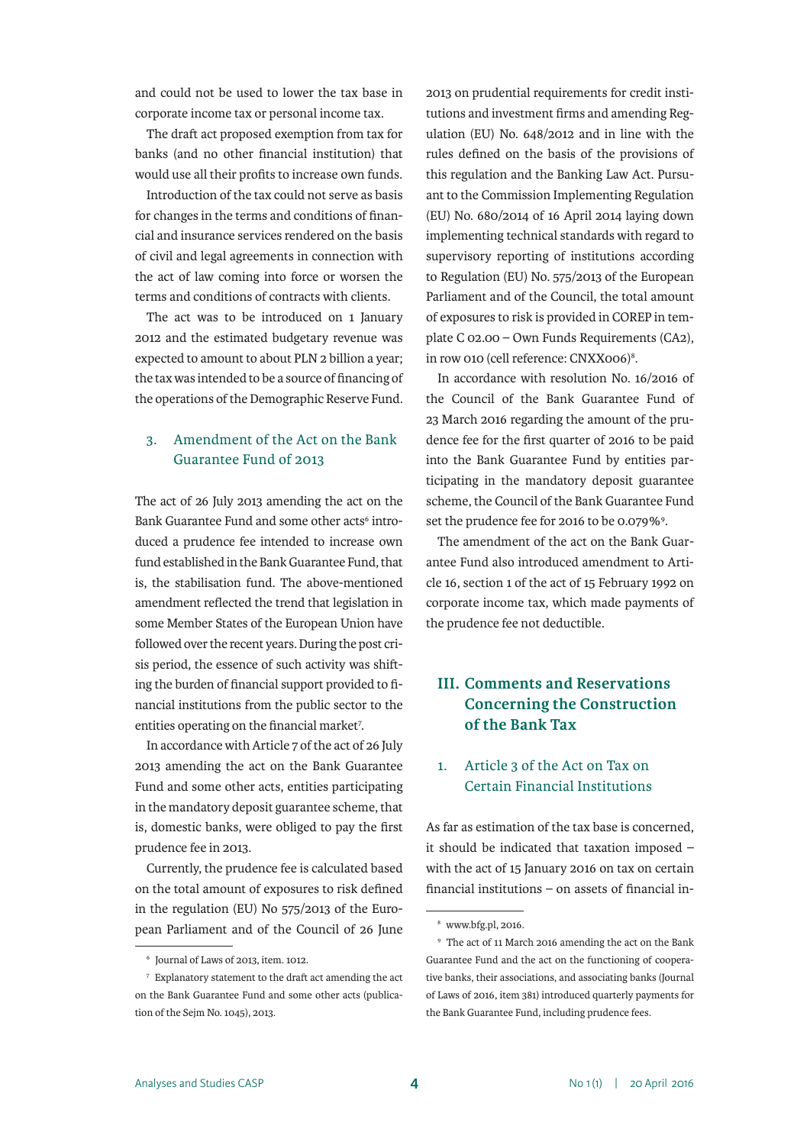and could not be used to lower the tax base in corporate income tax or personal income tax.

The draft act proposed exemption from tax for banks (and no other financial institution) that would use all their profits to increase own funds.

Introduction of the tax could not serve as basis for changes in the terms and conditions of financial and insurance services rendered on the basis of civil and legal agreements in connection with the act of law coming into force or worsen the terms and conditions of contracts with clients.

The act was to be introduced on 1 January 2012 and the estimated budgetary revenue was expected to amount to about PLN 2 billion a year; the tax was intended to be a source of financing of the operations of the Demographic Reserve Fund.

#### 3. Amendment of the Act on the Bank Guarantee Fund of 2013

The act of 26 July 2013 amending the act on the Bank Guarantee Fund and some other acts<sup>6</sup> introduced a prudence fee intended to increase own fund established in the Bank Guarantee Fund, that is, the stabilisation fund. The above-mentioned amendment reflected the trend that legislation in some Member States of the European Union have followed over the recent years. During the post crisis period, the essence of such activity was shifting the burden of financial support provided to financial institutions from the public sector to the entities operating on the financial market<sup>7</sup>.

In accordance with Article 7 of the act of 26 July 2013 amending the act on the Bank Guarantee Fund and some other acts, entities participating in the mandatory deposit guarantee scheme, that is, domestic banks, were obliged to pay the first prudence fee in 2013.

Currently, the prudence fee is calculated based on the total amount of exposures to risk defined in the regulation (EU) No 575/2013 of the European Parliament and of the Council of 26 June

2013 on prudential requirements for credit institutions and investment firms and amending Regulation (EU) No. 648/2012 and in line with the rules defined on the basis of the provisions of this regulation and the Banking Law Act. Pursuant to the Commission Implementing Regulation (EU) No. 680/2014 of 16 April 2014 laying down implementing technical standards with regard to supervisory reporting of institutions according to Regulation (EU) No. 575/2013 of the European Parliament and of the Council, the total amount of exposures to risk is provided in COREP in template C 02.00 – Own Funds Requirements (CA2), in row 010 (cell reference: CNXX006)8 .

In accordance with resolution No. 16/2016 of the Council of the Bank Guarantee Fund of 23 March 2016 regarding the amount of the prudence fee for the first quarter of 2016 to be paid into the Bank Guarantee Fund by entities participating in the mandatory deposit guarantee scheme, the Council of the Bank Guarantee Fund set the prudence fee for 2016 to be 0.079%<sup>9</sup>.

The amendment of the act on the Bank Guarantee Fund also introduced amendment to Article 16, section 1 of the act of 15 February 1992 on corporate income tax, which made payments of the prudence fee not deductible.

## **III. Comments and Reservations Concerning the Construction of the Bank Tax**

#### 1. Article 3 of the Act on Tax on Certain Financial Institutions

As far as estimation of the tax base is concerned, it should be indicated that taxation imposed – with the act of 15 January 2016 on tax on certain financial institutions – on assets of financial in-

<sup>6</sup> Journal of Laws of 2013, item. 1012.

<sup>7</sup> Explanatory statement to the draft act amending the act on the Bank Guarantee Fund and some other acts (publication of the Sejm No. 1045), 2013.

<sup>8</sup> www.bfg.pl, 2016.

<sup>9</sup> The act of 11 March 2016 amending the act on the Bank Guarantee Fund and the act on the functioning of cooperative banks, their associations, and associating banks (Journal of Laws of 2016, item 381) introduced quarterly payments for the Bank Guarantee Fund, including prudence fees.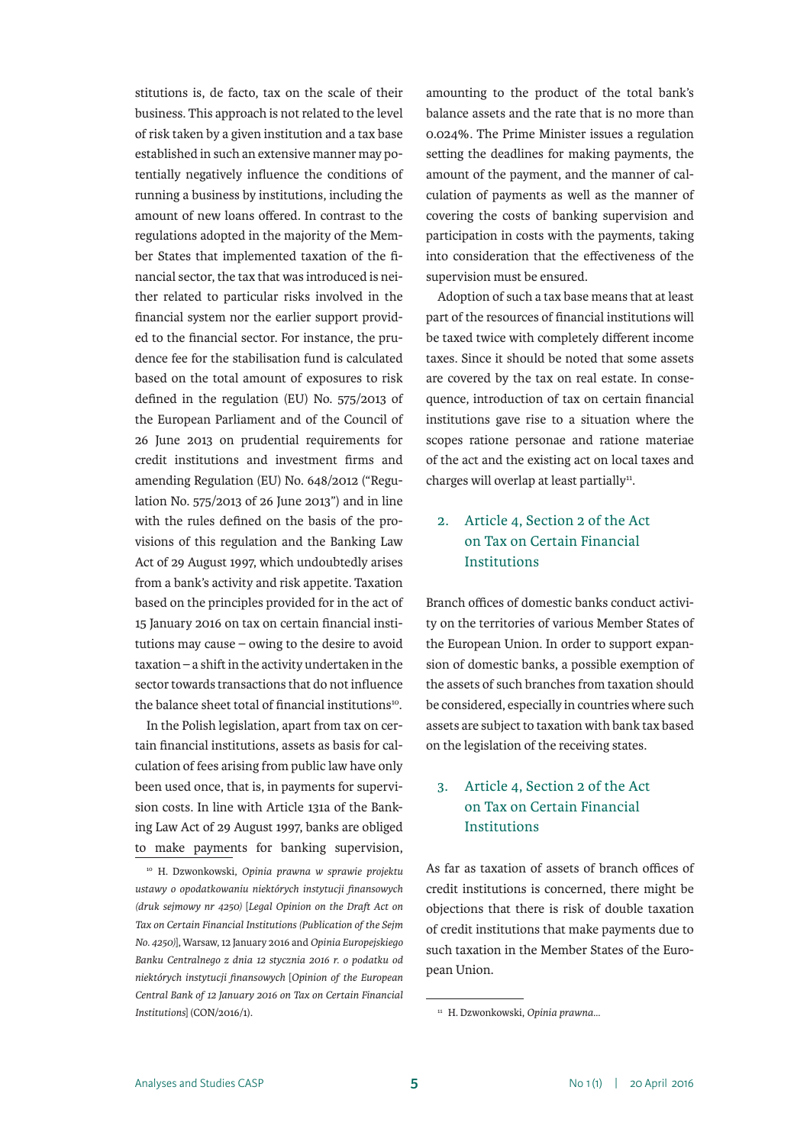stitutions is, de facto, tax on the scale of their business. This approach is not related to the level of risk taken by a given institution and a tax base established in such an extensive manner may potentially negatively influence the conditions of running a business by institutions, including the amount of new loans offered. In contrast to the regulations adopted in the majority of the Member States that implemented taxation of the financial sector, the tax that was introduced is neither related to particular risks involved in the financial system nor the earlier support provided to the financial sector. For instance, the prudence fee for the stabilisation fund is calculated based on the total amount of exposures to risk defined in the regulation (EU) No. 575/2013 of the European Parliament and of the Council of 26 June 2013 on prudential requirements for credit institutions and investment firms and amending Regulation (EU) No. 648/2012 ("Regulation No. 575/2013 of 26 June 2013") and in line with the rules defined on the basis of the provisions of this regulation and the Banking Law Act of 29 August 1997, which undoubtedly arises from a bank's activity and risk appetite. Taxation based on the principles provided for in the act of 15 January 2016 on tax on certain financial institutions may cause – owing to the desire to avoid taxation – a shift in the activity undertaken in the sector towards transactions that do not influence the balance sheet total of financial institutions<sup>10</sup>.

In the Polish legislation, apart from tax on certain financial institutions, assets as basis for calculation of fees arising from public law have only been used once, that is, in payments for supervision costs. In line with Article 131a of the Banking Law Act of 29 August 1997, banks are obliged to make payments for banking supervision,

<sup>10</sup> H. Dzwonkowski, *Opinia prawna w sprawie projektu ustawy o opodatkowaniu niektórych instytucji finansowych (druk sejmowy nr 4250)* [*Legal Opinion on the Draft Act on Tax on Certain Financial Institutions (Publication of the Sejm No. 4250)*], Warsaw, 12 January 2016 and *Opinia Europejskiego Banku Centralnego z dnia 12 stycznia 2016 r. o podatku od niektórych instytucji finansowych* [*Opinion of the European Central Bank of 12 January 2016 on Tax on Certain Financial Institutions*] (CON/2016/1).

amounting to the product of the total bank's balance assets and the rate that is no more than 0.024%. The Prime Minister issues a regulation setting the deadlines for making payments, the amount of the payment, and the manner of calculation of payments as well as the manner of covering the costs of banking supervision and participation in costs with the payments, taking into consideration that the effectiveness of the supervision must be ensured.

Adoption of such a tax base means that at least part of the resources of financial institutions will be taxed twice with completely different income taxes. Since it should be noted that some assets are covered by the tax on real estate. In consequence, introduction of tax on certain financial institutions gave rise to a situation where the scopes ratione personae and ratione materiae of the act and the existing act on local taxes and charges will overlap at least partially $11$ .

#### 2. Article 4, Section 2 of the Act on Tax on Certain Financial Institutions

Branch offices of domestic banks conduct activity on the territories of various Member States of the European Union. In order to support expansion of domestic banks, a possible exemption of the assets of such branches from taxation should be considered, especially in countries where such assets are subject to taxation with bank tax based on the legislation of the receiving states.

#### 3. Article 4, Section 2 of the Act on Tax on Certain Financial Institutions

As far as taxation of assets of branch offices of credit institutions is concerned, there might be objections that there is risk of double taxation of credit institutions that make payments due to such taxation in the Member States of the European Union.

<sup>11</sup> H. Dzwonkowski, *Opinia prawna…*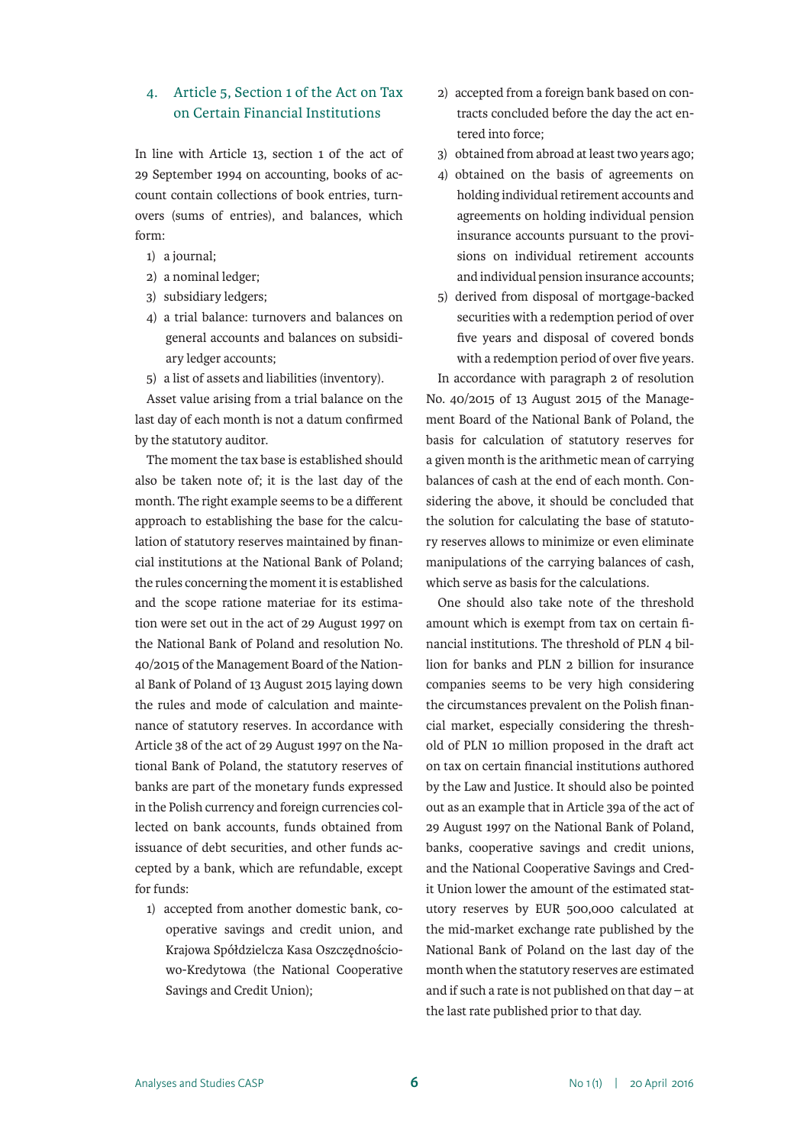#### 4. Article 5, Section 1 of the Act on Tax on Certain Financial Institutions

In line with Article 13, section 1 of the act of 29 September 1994 on accounting, books of account contain collections of book entries, turnovers (sums of entries), and balances, which form:

- 1) a journal;
- 2) a nominal ledger;
- 3) subsidiary ledgers;
- 4) a trial balance: turnovers and balances on general accounts and balances on subsidiary ledger accounts;
- 5) a list of assets and liabilities (inventory).

Asset value arising from a trial balance on the last day of each month is not a datum confirmed by the statutory auditor.

The moment the tax base is established should also be taken note of; it is the last day of the month. The right example seems to be a different approach to establishing the base for the calculation of statutory reserves maintained by financial institutions at the National Bank of Poland; the rules concerning the moment it is established and the scope ratione materiae for its estimation were set out in the act of 29 August 1997 on the National Bank of Poland and resolution No. 40/2015 of the Management Board of the National Bank of Poland of 13 August 2015 laying down the rules and mode of calculation and maintenance of statutory reserves. In accordance with Article 38 of the act of 29 August 1997 on the National Bank of Poland, the statutory reserves of banks are part of the monetary funds expressed in the Polish currency and foreign currencies collected on bank accounts, funds obtained from issuance of debt securities, and other funds accepted by a bank, which are refundable, except for funds:

1) accepted from another domestic bank, cooperative savings and credit union, and Krajowa Spółdzielcza Kasa Oszczędnościowo-Kredytowa (the National Cooperative Savings and Credit Union);

- 2) accepted from a foreign bank based on contracts concluded before the day the act entered into force;
- 3) obtained from abroad at least two years ago;
- 4) obtained on the basis of agreements on holding individual retirement accounts and agreements on holding individual pension insurance accounts pursuant to the provisions on individual retirement accounts and individual pension insurance accounts;
- 5) derived from disposal of mortgage-backed securities with a redemption period of over five years and disposal of covered bonds with a redemption period of over five years.

In accordance with paragraph 2 of resolution No. 40/2015 of 13 August 2015 of the Management Board of the National Bank of Poland, the basis for calculation of statutory reserves for a given month is the arithmetic mean of carrying balances of cash at the end of each month. Considering the above, it should be concluded that the solution for calculating the base of statutory reserves allows to minimize or even eliminate manipulations of the carrying balances of cash, which serve as basis for the calculations.

One should also take note of the threshold amount which is exempt from tax on certain financial institutions. The threshold of PLN 4 billion for banks and PLN 2 billion for insurance companies seems to be very high considering the circumstances prevalent on the Polish financial market, especially considering the threshold of PLN 10 million proposed in the draft act on tax on certain financial institutions authored by the Law and Justice. It should also be pointed out as an example that in Article 39a of the act of 29 August 1997 on the National Bank of Poland, banks, cooperative savings and credit unions, and the National Cooperative Savings and Credit Union lower the amount of the estimated statutory reserves by EUR 500,000 calculated at the mid-market exchange rate published by the National Bank of Poland on the last day of the month when the statutory reserves are estimated and if such a rate is not published on that day – at the last rate published prior to that day.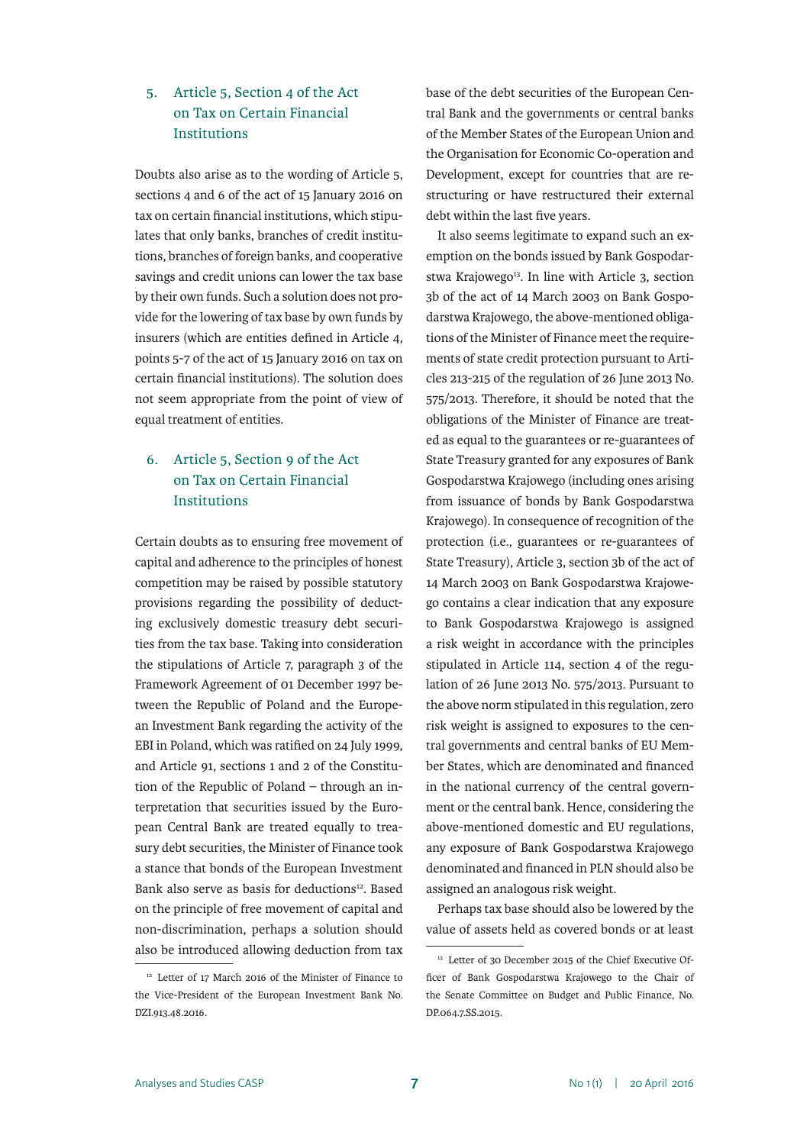#### 5. Article 5, Section 4 of the Act on Tax on Certain Financial Institutions

Doubts also arise as to the wording of Article 5, sections 4 and 6 of the act of 15 January 2016 on tax on certain financial institutions, which stipulates that only banks, branches of credit institutions, branches of foreign banks, and cooperative savings and credit unions can lower the tax base by their own funds. Such a solution does not provide for the lowering of tax base by own funds by insurers (which are entities defined in Article 4, points 5-7 of the act of 15 January 2016 on tax on certain financial institutions). The solution does not seem appropriate from the point of view of equal treatment of entities.

## 6. Article 5, Section 9 of the Act on Tax on Certain Financial Institutions

Certain doubts as to ensuring free movement of capital and adherence to the principles of honest competition may be raised by possible statutory provisions regarding the possibility of deducting exclusively domestic treasury debt securities from the tax base. Taking into consideration the stipulations of Article 7, paragraph 3 of the Framework Agreement of 01 December 1997 between the Republic of Poland and the European Investment Bank regarding the activity of the EBI in Poland, which was ratified on 24 July 1999, and Article 91, sections 1 and 2 of the Constitution of the Republic of Poland – through an interpretation that securities issued by the European Central Bank are treated equally to treasury debt securities, the Minister of Finance took a stance that bonds of the European Investment Bank also serve as basis for deductions<sup>12</sup>. Based on the principle of free movement of capital and non-discrimination, perhaps a solution should also be introduced allowing deduction from tax base of the debt securities of the European Central Bank and the governments or central banks of the Member States of the European Union and the Organisation for Economic Co-operation and Development, except for countries that are restructuring or have restructured their external debt within the last five years.

It also seems legitimate to expand such an exemption on the bonds issued by Bank Gospodarstwa Krajowego<sup>13</sup>. In line with Article 3, section 3b of the act of 14 March 2003 on Bank Gospodarstwa Krajowego, the above-mentioned obligations of the Minister of Finance meet the requirements of state credit protection pursuant to Articles 213-215 of the regulation of 26 June 2013 No. 575/2013. Therefore, it should be noted that the obligations of the Minister of Finance are treated as equal to the guarantees or re-guarantees of State Treasury granted for any exposures of Bank Gospodarstwa Krajowego (including ones arising from issuance of bonds by Bank Gospodarstwa Krajowego). In consequence of recognition of the protection (i.e., guarantees or re-guarantees of State Treasury), Article 3, section 3b of the act of 14 March 2003 on Bank Gospodarstwa Krajowego contains a clear indication that any exposure to Bank Gospodarstwa Krajowego is assigned a risk weight in accordance with the principles stipulated in Article 114, section 4 of the regulation of 26 June 2013 No. 575/2013. Pursuant to the above norm stipulated in this regulation, zero risk weight is assigned to exposures to the central governments and central banks of EU Member States, which are denominated and financed in the national currency of the central government or the central bank. Hence, considering the above-mentioned domestic and EU regulations, any exposure of Bank Gospodarstwa Krajowego denominated and financed in PLN should also be assigned an analogous risk weight.

Perhaps tax base should also be lowered by the value of assets held as covered bonds or at least

<sup>12</sup> Letter of 17 March 2016 of the Minister of Finance to the Vice-President of the European Investment Bank No. DZI.913.48.2016.

<sup>&</sup>lt;sup>13</sup> Letter of 30 December 2015 of the Chief Executive Officer of Bank Gospodarstwa Krajowego to the Chair of the Senate Committee on Budget and Public Finance, No. DP.064.7.SS.2015.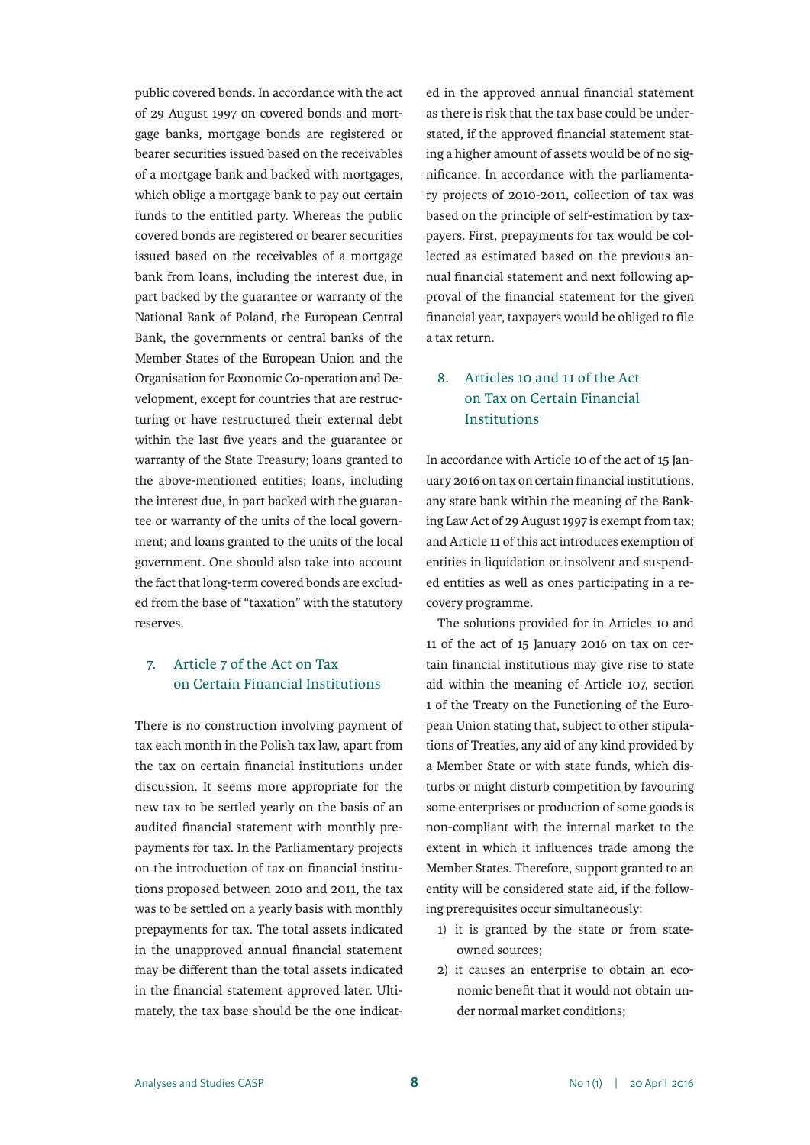public covered bonds. In accordance with the act of 29 August 1997 on covered bonds and mortgage banks, mortgage bonds are registered or bearer securities issued based on the receivables of a mortgage bank and backed with mortgages, which oblige a mortgage bank to pay out certain funds to the entitled party. Whereas the public covered bonds are registered or bearer securities issued based on the receivables of a mortgage bank from loans, including the interest due, in part backed by the guarantee or warranty of the National Bank of Poland, the European Central Bank, the governments or central banks of the Member States of the European Union and the Organisation for Economic Co-operation and Development, except for countries that are restructuring or have restructured their external debt within the last five years and the guarantee or warranty of the State Treasury; loans granted to the above-mentioned entities; loans, including the interest due, in part backed with the guarantee or warranty of the units of the local government; and loans granted to the units of the local government. One should also take into account the fact that long-term covered bonds are excluded from the base of "taxation" with the statutory reserves.

#### 7. Article 7 of the Act on Tax on Certain Financial Institutions

There is no construction involving payment of tax each month in the Polish tax law, apart from the tax on certain financial institutions under discussion. It seems more appropriate for the new tax to be settled yearly on the basis of an audited financial statement with monthly prepayments for tax. In the Parliamentary projects on the introduction of tax on financial institutions proposed between 2010 and 2011, the tax was to be settled on a yearly basis with monthly prepayments for tax. The total assets indicated in the unapproved annual financial statement may be different than the total assets indicated in the financial statement approved later. Ultimately, the tax base should be the one indicated in the approved annual financial statement as there is risk that the tax base could be understated, if the approved financial statement stating a higher amount of assets would be of no significance. In accordance with the parliamentary projects of 2010-2011, collection of tax was based on the principle of self-estimation by taxpayers. First, prepayments for tax would be collected as estimated based on the previous annual financial statement and next following approval of the financial statement for the given financial year, taxpayers would be obliged to file a tax return.

## 8. Articles 10 and 11 of the Act on Tax on Certain Financial Institutions

In accordance with Article 10 of the act of 15 January 2016 on tax on certain financial institutions, any state bank within the meaning of the Banking Law Act of 29 August 1997 is exempt from tax; and Article 11 of this act introduces exemption of entities in liquidation or insolvent and suspended entities as well as ones participating in a recovery programme.

The solutions provided for in Articles 10 and 11 of the act of 15 January 2016 on tax on certain financial institutions may give rise to state aid within the meaning of Article 107, section 1 of the Treaty on the Functioning of the European Union stating that, subject to other stipulations of Treaties, any aid of any kind provided by a Member State or with state funds, which disturbs or might disturb competition by favouring some enterprises or production of some goods is non-compliant with the internal market to the extent in which it influences trade among the Member States. Therefore, support granted to an entity will be considered state aid, if the following prerequisites occur simultaneously:

- 1) it is granted by the state or from stateowned sources;
- 2) it causes an enterprise to obtain an economic benefit that it would not obtain under normal market conditions;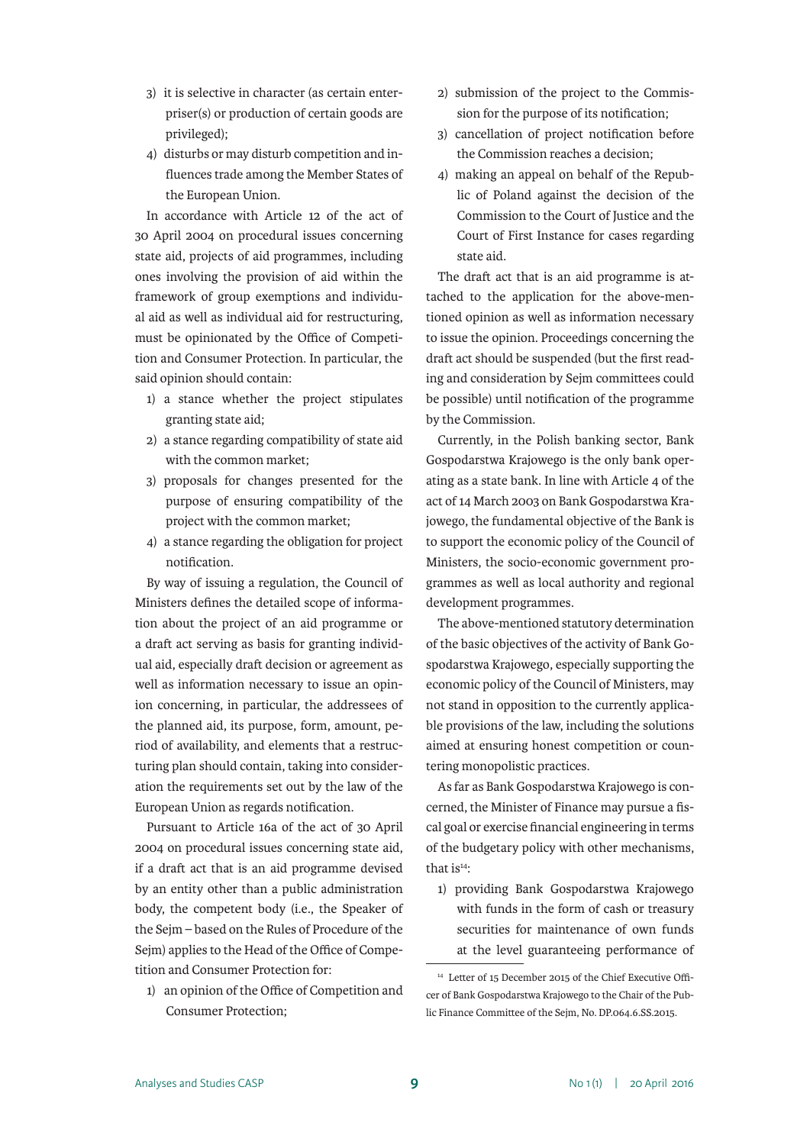- 3) it is selective in character (as certain enterpriser(s) or production of certain goods are privileged);
- 4) disturbs or may disturb competition and influences trade among the Member States of the European Union.

In accordance with Article 12 of the act of 30 April 2004 on procedural issues concerning state aid, projects of aid programmes, including ones involving the provision of aid within the framework of group exemptions and individual aid as well as individual aid for restructuring, must be opinionated by the Office of Competition and Consumer Protection. In particular, the said opinion should contain:

- 1) a stance whether the project stipulates granting state aid;
- 2) a stance regarding compatibility of state aid with the common market;
- 3) proposals for changes presented for the purpose of ensuring compatibility of the project with the common market;
- 4) a stance regarding the obligation for project notification.

By way of issuing a regulation, the Council of Ministers defines the detailed scope of information about the project of an aid programme or a draft act serving as basis for granting individual aid, especially draft decision or agreement as well as information necessary to issue an opinion concerning, in particular, the addressees of the planned aid, its purpose, form, amount, period of availability, and elements that a restructuring plan should contain, taking into consideration the requirements set out by the law of the European Union as regards notification.

Pursuant to Article 16a of the act of 30 April 2004 on procedural issues concerning state aid, if a draft act that is an aid programme devised by an entity other than a public administration body, the competent body (i.e., the Speaker of the Sejm – based on the Rules of Procedure of the Sejm) applies to the Head of the Office of Competition and Consumer Protection for:

1) an opinion of the Office of Competition and Consumer Protection;

- 2) submission of the project to the Commission for the purpose of its notification;
- 3) cancellation of project notification before the Commission reaches a decision;
- 4) making an appeal on behalf of the Republic of Poland against the decision of the Commission to the Court of Justice and the Court of First Instance for cases regarding state aid.

The draft act that is an aid programme is attached to the application for the above-mentioned opinion as well as information necessary to issue the opinion. Proceedings concerning the draft act should be suspended (but the first reading and consideration by Sejm committees could be possible) until notification of the programme by the Commission.

Currently, in the Polish banking sector, Bank Gospodarstwa Krajowego is the only bank operating as a state bank. In line with Article 4 of the act of 14 March 2003 on Bank Gospodarstwa Krajowego, the fundamental objective of the Bank is to support the economic policy of the Council of Ministers, the socio-economic government programmes as well as local authority and regional development programmes.

The above-mentioned statutory determination of the basic objectives of the activity of Bank Gospodarstwa Krajowego, especially supporting the economic policy of the Council of Ministers, may not stand in opposition to the currently applicable provisions of the law, including the solutions aimed at ensuring honest competition or countering monopolistic practices.

As far as Bank Gospodarstwa Krajowego is concerned, the Minister of Finance may pursue a fiscal goal or exercise financial engineering in terms of the budgetary policy with other mechanisms, that  $is<sup>14</sup>$ :

1) providing Bank Gospodarstwa Krajowego with funds in the form of cash or treasury securities for maintenance of own funds at the level guaranteeing performance of

<sup>14</sup> Letter of 15 December 2015 of the Chief Executive Officer of Bank Gospodarstwa Krajowego to the Chair of the Public Finance Committee of the Sejm, No. DP.064.6.SS.2015.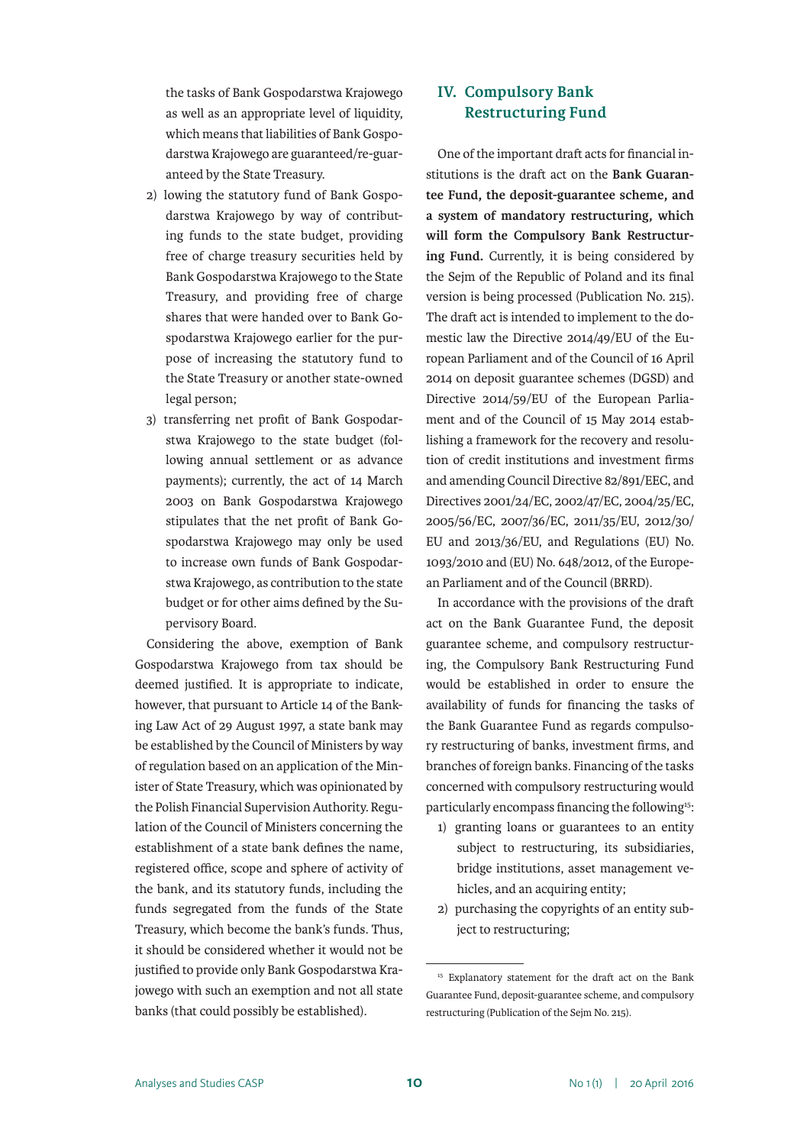the tasks of Bank Gospodarstwa Krajowego as well as an appropriate level of liquidity, which means that liabilities of Bank Gospodarstwa Krajowego are guaranteed/re-guaranteed by the State Treasury.

- 2) lowing the statutory fund of Bank Gospodarstwa Krajowego by way of contributing funds to the state budget, providing free of charge treasury securities held by Bank Gospodarstwa Krajowego to the State Treasury, and providing free of charge shares that were handed over to Bank Gospodarstwa Krajowego earlier for the purpose of increasing the statutory fund to the State Treasury or another state-owned legal person;
- 3) transferring net profit of Bank Gospodarstwa Krajowego to the state budget (following annual settlement or as advance payments); currently, the act of 14 March 2003 on Bank Gospodarstwa Krajowego stipulates that the net profit of Bank Gospodarstwa Krajowego may only be used to increase own funds of Bank Gospodarstwa Krajowego, as contribution to the state budget or for other aims defined by the Supervisory Board.

Considering the above, exemption of Bank Gospodarstwa Krajowego from tax should be deemed justified. It is appropriate to indicate, however, that pursuant to Article 14 of the Banking Law Act of 29 August 1997, a state bank may be established by the Council of Ministers by way of regulation based on an application of the Minister of State Treasury, which was opinionated by the Polish Financial Supervision Authority. Regulation of the Council of Ministers concerning the establishment of a state bank defines the name, registered office, scope and sphere of activity of the bank, and its statutory funds, including the funds segregated from the funds of the State Treasury, which become the bank's funds. Thus, it should be considered whether it would not be justified to provide only Bank Gospodarstwa Krajowego with such an exemption and not all state banks (that could possibly be established).

## **IV. Compulsory Bank Restructuring Fund**

One of the important draft acts for financial institutions is the draft act on the **Bank Guarantee Fund, the deposit-guarantee scheme, and a system of mandatory restructuring, which will form the Compulsory Bank Restructuring Fund.** Currently, it is being considered by the Sejm of the Republic of Poland and its final version is being processed (Publication No. 215). The draft act is intended to implement to the domestic law the Directive 2014/49/EU of the European Parliament and of the Council of 16 April 2014 on deposit guarantee schemes (DGSD) and Directive 2014/59/EU of the European Parliament and of the Council of 15 May 2014 establishing a framework for the recovery and resolution of credit institutions and investment firms and amending Council Directive 82/891/EEC, and Directives 2001/24/EC, 2002/47/EC, 2004/25/EC, 2005/56/EC, 2007/36/EC, 2011/35/EU, 2012/30/ EU and 2013/36/EU, and Regulations (EU) No. 1093/2010 and (EU) No. 648/2012, of the European Parliament and of the Council (BRRD).

In accordance with the provisions of the draft act on the Bank Guarantee Fund, the deposit guarantee scheme, and compulsory restructuring, the Compulsory Bank Restructuring Fund would be established in order to ensure the availability of funds for financing the tasks of the Bank Guarantee Fund as regards compulsory restructuring of banks, investment firms, and branches of foreign banks. Financing of the tasks concerned with compulsory restructuring would particularly encompass financing the following<sup>15</sup>:

- 1) granting loans or guarantees to an entity subject to restructuring, its subsidiaries, bridge institutions, asset management vehicles, and an acquiring entity;
- 2) purchasing the copyrights of an entity subject to restructuring;

<sup>&</sup>lt;sup>15</sup> Explanatory statement for the draft act on the Bank Guarantee Fund, deposit-guarantee scheme, and compulsory restructuring (Publication of the Sejm No. 215).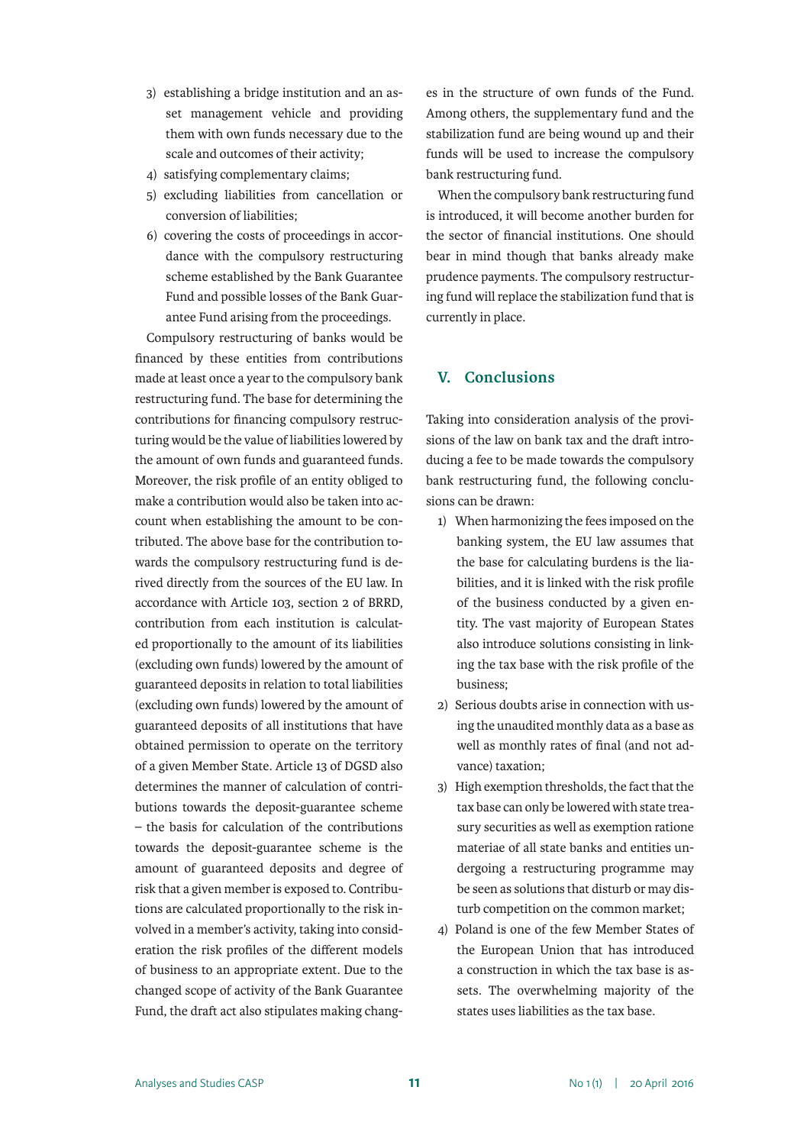- 3) establishing a bridge institution and an asset management vehicle and providing them with own funds necessary due to the scale and outcomes of their activity;
- 4) satisfying complementary claims;
- 5) excluding liabilities from cancellation or conversion of liabilities;
- 6) covering the costs of proceedings in accordance with the compulsory restructuring scheme established by the Bank Guarantee Fund and possible losses of the Bank Guarantee Fund arising from the proceedings.

Compulsory restructuring of banks would be financed by these entities from contributions made at least once a year to the compulsory bank restructuring fund. The base for determining the contributions for financing compulsory restructuring would be the value of liabilities lowered by the amount of own funds and guaranteed funds. Moreover, the risk profile of an entity obliged to make a contribution would also be taken into account when establishing the amount to be contributed. The above base for the contribution towards the compulsory restructuring fund is derived directly from the sources of the EU law. In accordance with Article 103, section 2 of BRRD, contribution from each institution is calculated proportionally to the amount of its liabilities (excluding own funds) lowered by the amount of guaranteed deposits in relation to total liabilities (excluding own funds) lowered by the amount of guaranteed deposits of all institutions that have obtained permission to operate on the territory of a given Member State. Article 13 of DGSD also determines the manner of calculation of contributions towards the deposit-guarantee scheme – the basis for calculation of the contributions towards the deposit-guarantee scheme is the amount of guaranteed deposits and degree of risk that a given member is exposed to. Contributions are calculated proportionally to the risk involved in a member's activity, taking into consideration the risk profiles of the different models of business to an appropriate extent. Due to the changed scope of activity of the Bank Guarantee Fund, the draft act also stipulates making changes in the structure of own funds of the Fund. Among others, the supplementary fund and the stabilization fund are being wound up and their funds will be used to increase the compulsory bank restructuring fund.

When the compulsory bank restructuring fund is introduced, it will become another burden for the sector of financial institutions. One should bear in mind though that banks already make prudence payments. The compulsory restructuring fund will replace the stabilization fund that is currently in place.

#### **V. Conclusions**

Taking into consideration analysis of the provisions of the law on bank tax and the draft introducing a fee to be made towards the compulsory bank restructuring fund, the following conclusions can be drawn:

- 1) When harmonizing the fees imposed on the banking system, the EU law assumes that the base for calculating burdens is the liabilities, and it is linked with the risk profile of the business conducted by a given entity. The vast majority of European States also introduce solutions consisting in linking the tax base with the risk profile of the business;
- 2) Serious doubts arise in connection with using the unaudited monthly data as a base as well as monthly rates of final (and not advance) taxation;
- 3) High exemption thresholds, the fact that the tax base can only be lowered with state treasury securities as well as exemption ratione materiae of all state banks and entities undergoing a restructuring programme may be seen as solutions that disturb or may disturb competition on the common market;
- 4) Poland is one of the few Member States of the European Union that has introduced a construction in which the tax base is assets. The overwhelming majority of the states uses liabilities as the tax base.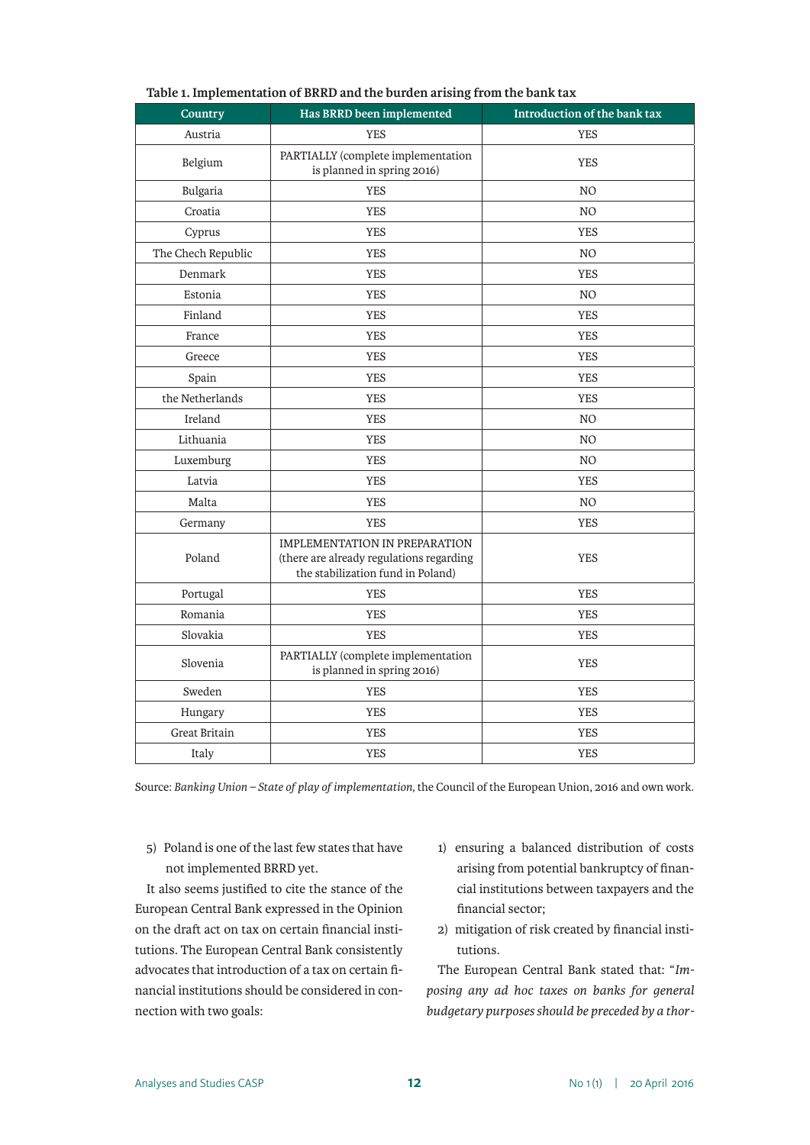| τ.<br>Country      | っ<br>Has BRRD been implemented                                                                                        | Introduction of the bank tax |  |  |
|--------------------|-----------------------------------------------------------------------------------------------------------------------|------------------------------|--|--|
| Austria            | <b>YES</b>                                                                                                            | <b>YES</b>                   |  |  |
| Belgium            | PARTIALLY (complete implementation<br>is planned in spring 2016)                                                      | <b>YES</b>                   |  |  |
| Bulgaria           | <b>YES</b>                                                                                                            | NO.                          |  |  |
| Croatia            | <b>YES</b>                                                                                                            | N <sub>O</sub>               |  |  |
| Cyprus             | <b>YES</b>                                                                                                            | <b>YES</b>                   |  |  |
| The Chech Republic | <b>YES</b>                                                                                                            | N <sub>O</sub>               |  |  |
| Denmark            | <b>YES</b>                                                                                                            | <b>YES</b>                   |  |  |
| Estonia            | <b>YES</b>                                                                                                            | N <sub>O</sub>               |  |  |
| Finland            | <b>YES</b>                                                                                                            | <b>YES</b>                   |  |  |
| France             | <b>YES</b>                                                                                                            | <b>YES</b>                   |  |  |
| Greece             | <b>YES</b>                                                                                                            | <b>YES</b>                   |  |  |
| Spain              | <b>YES</b>                                                                                                            | <b>YES</b>                   |  |  |
| the Netherlands    | <b>YES</b>                                                                                                            | <b>YES</b>                   |  |  |
| Ireland            | <b>YES</b>                                                                                                            | N <sub>O</sub>               |  |  |
| Lithuania          | <b>YES</b>                                                                                                            | N <sub>O</sub>               |  |  |
| Luxemburg          | <b>YES</b>                                                                                                            | N <sub>O</sub>               |  |  |
| Latvia             | <b>YES</b>                                                                                                            | <b>YES</b>                   |  |  |
| Malta              | <b>YES</b>                                                                                                            | N <sub>O</sub>               |  |  |
| Germany            | <b>YES</b>                                                                                                            | <b>YES</b>                   |  |  |
| Poland             | <b>IMPLEMENTATION IN PREPARATION</b><br>(there are already regulations regarding<br>the stabilization fund in Poland) | <b>YES</b>                   |  |  |
| Portugal           | <b>YES</b>                                                                                                            | <b>YES</b>                   |  |  |
| Romania            | <b>YES</b>                                                                                                            | <b>YES</b>                   |  |  |
| Slovakia           | <b>YES</b>                                                                                                            | <b>YES</b>                   |  |  |
| Slovenia           | PARTIALLY (complete implementation<br>is planned in spring 2016)                                                      | <b>YES</b>                   |  |  |
| Sweden             | <b>YES</b>                                                                                                            | <b>YES</b>                   |  |  |
| Hungary            | <b>YES</b>                                                                                                            | <b>YES</b>                   |  |  |
| Great Britain      | <b>YES</b>                                                                                                            | <b>YES</b>                   |  |  |
| Italy              | <b>YES</b>                                                                                                            | <b>YES</b>                   |  |  |

#### **Table 1. Implementation of BRRD and the burden arising from the bank tax**

Source: *Banking Union – State of play of implementation,* the Council of the European Union, 2016 and own work.

5) Poland is one of the last few states that have not implemented BRRD yet.

It also seems justified to cite the stance of the European Central Bank expressed in the Opinion on the draft act on tax on certain financial institutions. The European Central Bank consistently advocates that introduction of a tax on certain financial institutions should be considered in connection with two goals:

- 1) ensuring a balanced distribution of costs arising from potential bankruptcy of financial institutions between taxpayers and the financial sector;
- 2) mitigation of risk created by financial institutions.

The European Central Bank stated that: "*Imposing any ad hoc taxes on banks for general budgetary purposes should be preceded by a thor-*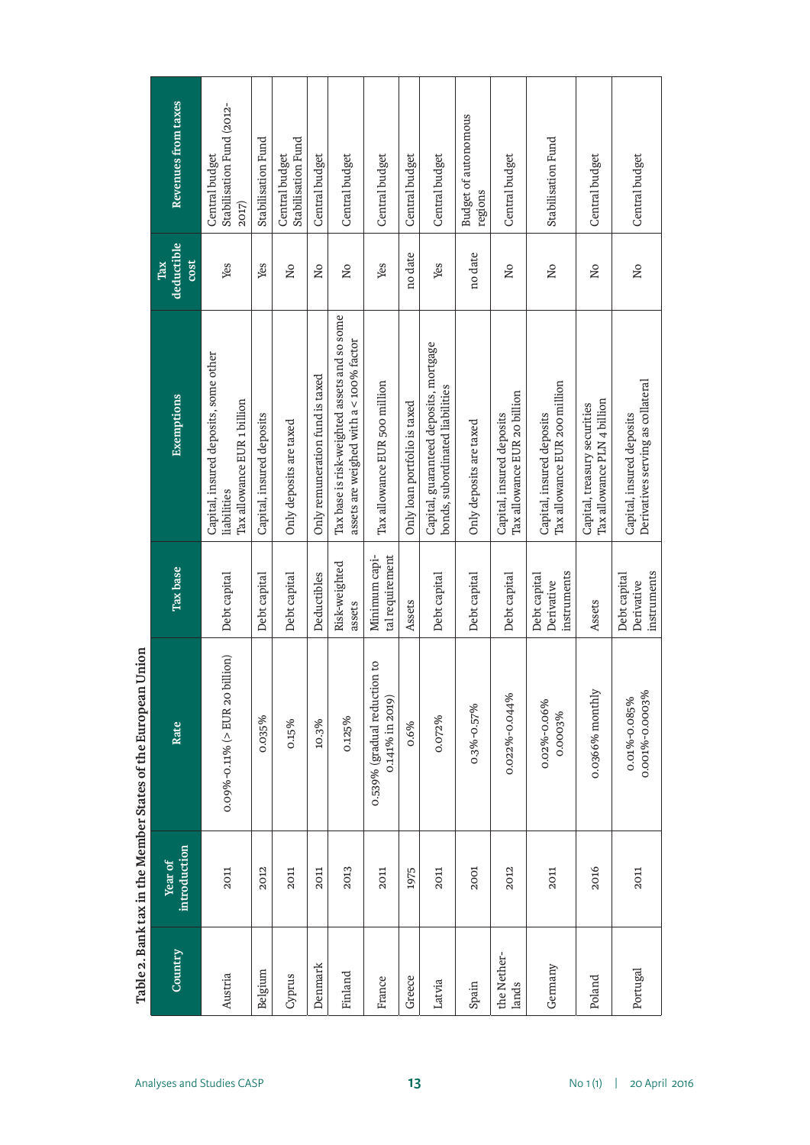| Country              | introduction<br>Year of | Rate                                            | <b>Tax</b> base                           | Exemptions                                                                              | deductible<br>cost<br>Tax | Revenues from taxes                                  |
|----------------------|-------------------------|-------------------------------------------------|-------------------------------------------|-----------------------------------------------------------------------------------------|---------------------------|------------------------------------------------------|
| Austria              | 2011                    | $0.09\% -0.11\%$ (> EUR 20 billion)             | Debt capital                              | Capital, insured deposits, some other<br>Tax allowance EUR 1 billion<br>liabilities     | Yes                       | Stabilisation Fund (2012-<br>Central budget<br>2017) |
| Belgium              | 2012                    | 0.035%                                          | Debt capital                              | Capital, insured deposits                                                               | Yes                       | Stabilisation Fund                                   |
| Cyprus               | 2011                    | 0.15%                                           | Debt capital                              | Only deposits are taxed                                                                 | ΣÓ                        | Stabilisation Fund<br>Central budget                 |
| Denmark              | 2011                    | 10.3%                                           | Deductibles                               | Only remuneration fund is taxed                                                         | $\overline{\mathsf{N}}$ o | Central budget                                       |
| Finland              | 2013                    | 0.125%                                          | Risk-weighted<br>assets                   | Tax base is risk-weighted assets and so some<br>assets are weighed with a < 100% factor | Νo                        | Central budget                                       |
| France               | 2011                    | 0.539% (gradual reduction to<br>0.141% in 2019) | Minimum capi-<br>tal requirement          | Tax allowance EUR 500 million                                                           | Yes                       | Central budget                                       |
| Greece               | 1975                    | 0.6%                                            | Assets                                    | Only loan portfolio is taxed                                                            | no date                   | Central budget                                       |
| Latvia               | 2011                    | 0.072%                                          | Debt capital                              | Capital, guaranteed deposits, mortgage<br>bonds, subordinated liabilities               | Yes                       | Central budget                                       |
| Spain                | 2001                    | 0.3%-0.57%                                      | Debt capital                              | Only deposits are taxed                                                                 | no date                   | <b>Budget of autonomous</b><br>regions               |
| the Nether-<br>lands | 2012                    | 0.022%-0.044%                                   | Debt capital                              | Tax allowance EUR 20 billion<br>Capital, insured deposits                               | Νo                        | Central budget                                       |
| Germany              | 2011                    | 0.02%-0.06%<br>0.0003%                          | instruments<br>Debt capital<br>Derivative | Tax allowance EUR 200 million<br>Capital, insured deposits                              | $\overline{\mathsf{N}}$   | Stabilisation Fund                                   |
| Poland               | 2016                    | 0.0366% monthly                                 | Assets                                    | Tax allowance PLN 4 billion<br>Capital, treasury securities                             | $\overline{\mathsf{N}}$ o | Central budget                                       |
| Portugal             | 2011                    | 0.001%-0.0003%<br>0.01%-0.085%                  | instruments<br>Debt capital<br>Derivative | Derivatives serving as collateral<br>Capital, insured deposits                          | $\overline{\mathsf{a}}$   | Central budget                                       |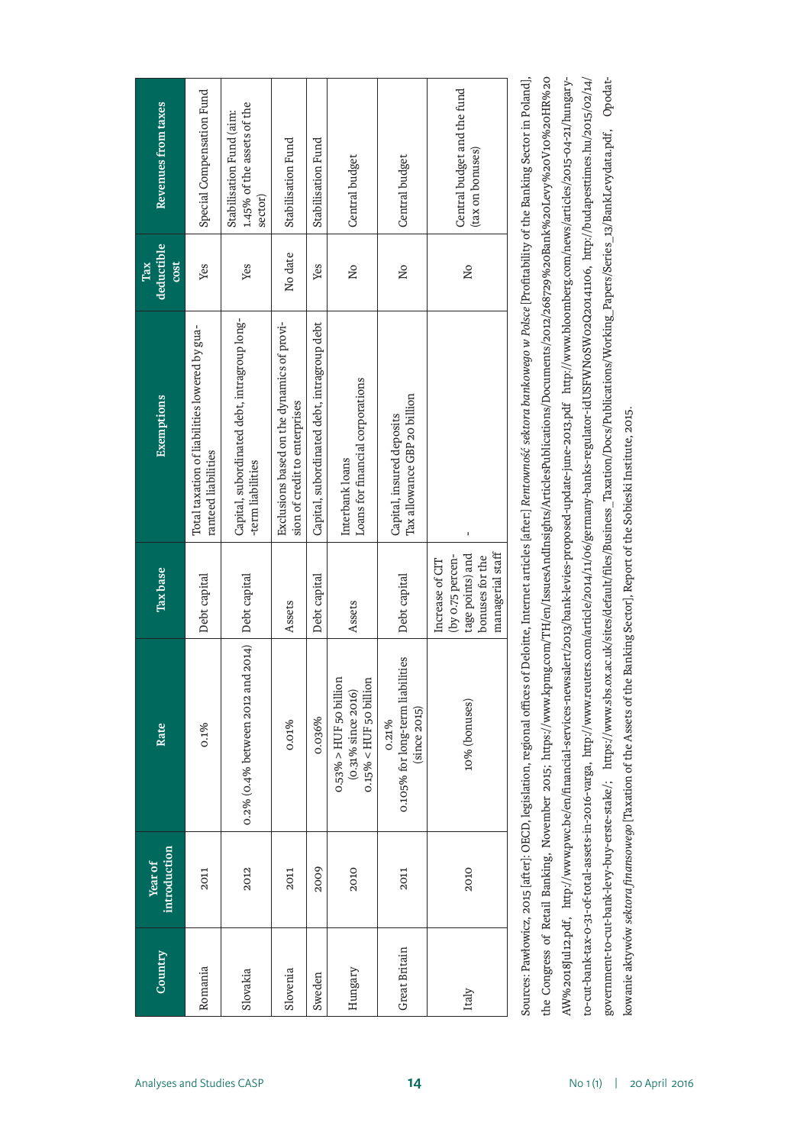| Revenues from taxes       | Special Compensation Fund                                            | 1.45% of the assets of the<br>Stabilisation Fund (aim:<br>sector) | Stabilisation Fund                                                          | Stabilisation Fund                          | Central budget                                                               | Central budget                                               | Central budget and the fund<br>(tax on bonuses)                                                |
|---------------------------|----------------------------------------------------------------------|-------------------------------------------------------------------|-----------------------------------------------------------------------------|---------------------------------------------|------------------------------------------------------------------------------|--------------------------------------------------------------|------------------------------------------------------------------------------------------------|
| deductible<br>cost<br>Tax | Yes                                                                  | Yes                                                               | No date                                                                     | Yes                                         | $\overline{\mathsf{N}}$                                                      | ΣÓ                                                           | ΣÓ                                                                                             |
| <b>Exemptions</b>         | Total taxation of liabilities lowered by gua-<br>ranteed liabilities | Capital, subordinated debt, intragroup long-<br>-term liabilities | Exclusions based on the dynamics of provi-<br>sion of credit to enterprises | Capital, subordinated debt, intragroup debt | Loans for financial corporations<br>Interbank loans                          | Tax allowance GBP 20 billion<br>Capital, insured deposits    |                                                                                                |
| Tax base                  | Debt capital                                                         | Debt capital                                                      | Assets                                                                      | Debt capital                                | Assets                                                                       | Debt capital                                                 | managerial staff<br>tage points) and<br>(by 0.75 percen-<br>bonuses for the<br>Increase of CIT |
| Rate                      | 0.1%                                                                 | $0.2\%$ (0.4% between 2012 and 2014)                              | 0.01%                                                                       | 0.036%                                      | $0.53\% > HUF$ 50 billion<br>$0.15\% < HUF$ 50 billion<br>(0.31% since 2016) | 0.105% for long-term liabilities<br>(since 2015)<br>$0.21\%$ | 10% (bonuses)                                                                                  |
| introduction<br>Year of   | 2011                                                                 | 2012                                                              | 2011                                                                        | 2009                                        | 2010                                                                         | 2011                                                         | 2010                                                                                           |
| Country                   | Romania                                                              | Slovakia                                                          | Slovenia                                                                    | Sweden                                      | Hungary                                                                      | Great Britain                                                | Italy                                                                                          |

the Congress of Retail Banking, November 2015; https://www.kpmg.com/TH/en/IssuesAndInsights/ArticlesPublications/Documents/2012/268729%20Bank%20Levy%20V10%20HR%20 Sources: Pawłowicz, 2015 [after]: OECD, legislation, regional offices of Deloitte, Internet articles [after:] Rentowność sektora bankowego w Polsce [Profitability of the Banking Sector in Poland], Sources: Pawłowicz, 2015 [after]: OECD, legislation, regional offices of Deloitte, Internet articles [after:] *Rentowność sektora bankowego w Polsce* [Profitability of the Banking Sector in Poland], AW%2018Jul12.pdf, http://www.pwc.be/en/financial-services-newsalert/2013/bank-levies-proposed-update-june-2013.pdf http://www.bloomberg.com/news/articles/2015-04-21/hungaryio-cut-bank-tax-0-31-of-total-assets-in-2016-varga, http://www.reuters.com/article/2014/11/06/germany-banks-regulator-idUSFWN0SW02Q20141106, http://budapesttimes.hu/2015/02/14/ government-to-cut-bank-levy-buy-erste-stake/; https://www.sbs.ox.ac.uk/sites/default/files/Business\_Taxation/Docs/Publications/Working\_Papers/Series\_13/BankLevydata.pdf, Opodatto-cut-bank-tax-0-31-of-total-assets-in-2016-varga, http://www.reuters.com/article/2014/11/06/germany-banks-regulator-idUSFWN0SW02Q20141106, http://budapesttimes.hu/2015/02/14/ the Congress of Retail Banking, November 2015; https://www.kpmg.com/TH/en/IssuesAndInsights/ArticlesPublications/Documents/2012/268729%20Bank%20Levy%20V10%20HR%20 AW%2018Jul12.pdf, http://www.pwc.be/en/financial-services-newsalert/2013/bank-levies-proposed-update-june-2013.pdf http://www.bloomberg.com/news/articles/2015-04-21/hungarygovernment-to-cut-bank-levy-buy-erste-stake/; https://www.sbs.ox.ac.uk/sites/default/files/Business\_Taxation/Docs/Publications/Working\_Papers/Series\_13/BankLevydata.pdf, Opodatkowanie aktywów *sektoru finansowego* [Taxation of the Assets of the Banking Sector], Report of the Sobieski Institute, 2015. kowanie aktywów *sektora finansowego* [Taxation of the Assets of the Banking Sector], Report of the Sobieski Institute, 2015.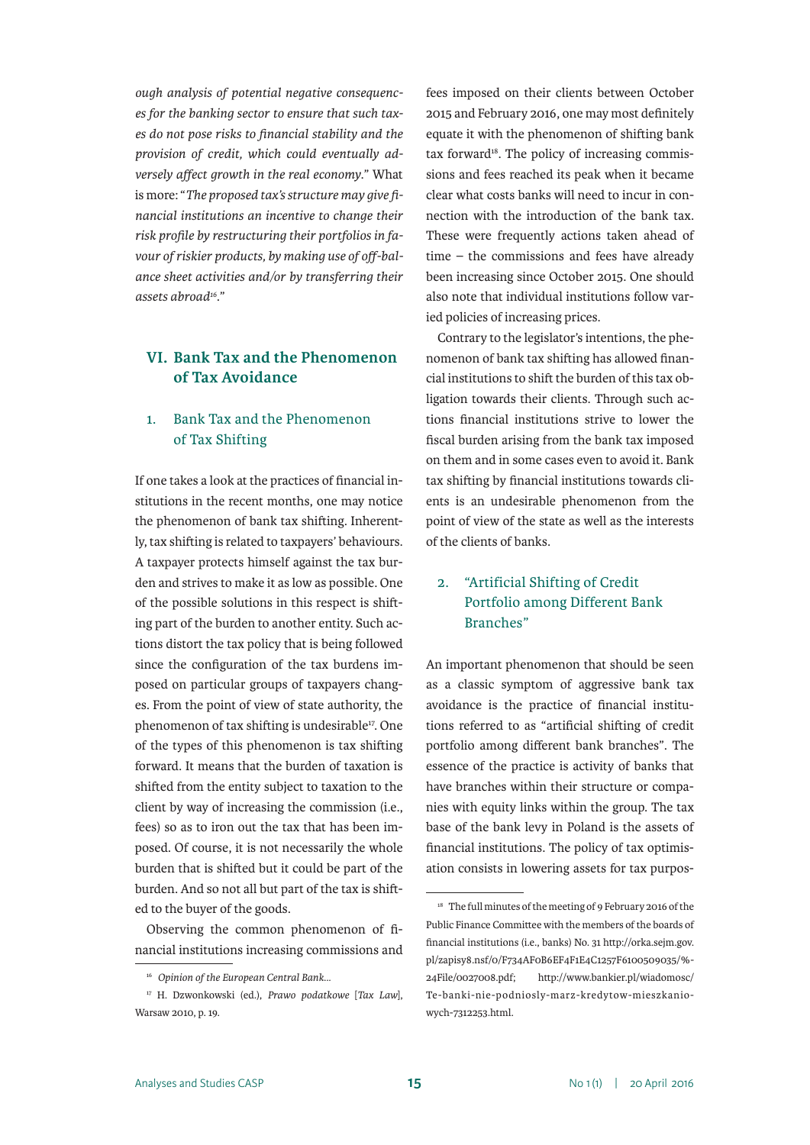*ough analysis of potential negative consequences for the banking sector to ensure that such taxes do not pose risks to financial stability and the provision of credit, which could eventually adversely affect growth in the real economy*." What is more: "*The proposed tax's structure may give financial institutions an incentive to change their risk profile by restructuring their portfolios in favour of riskier products, by making use of off-balance sheet activities and/or by transferring their assets abroad16*."

#### **VI. Bank Tax and the Phenomenon of Tax Avoidance**

#### 1. Bank Tax and the Phenomenon of Tax Shifting

If one takes a look at the practices of financial institutions in the recent months, one may notice the phenomenon of bank tax shifting. Inherently, tax shifting is related to taxpayers' behaviours. A taxpayer protects himself against the tax burden and strives to make it as low as possible. One of the possible solutions in this respect is shifting part of the burden to another entity. Such actions distort the tax policy that is being followed since the configuration of the tax burdens imposed on particular groups of taxpayers changes. From the point of view of state authority, the phenomenon of tax shifting is undesirable<sup>17</sup>. One of the types of this phenomenon is tax shifting forward. It means that the burden of taxation is shifted from the entity subject to taxation to the client by way of increasing the commission (i.e., fees) so as to iron out the tax that has been imposed. Of course, it is not necessarily the whole burden that is shifted but it could be part of the burden. And so not all but part of the tax is shifted to the buyer of the goods.

Observing the common phenomenon of financial institutions increasing commissions and

fees imposed on their clients between October 2015 and February 2016, one may most definitely equate it with the phenomenon of shifting bank tax forward<sup>18</sup>. The policy of increasing commissions and fees reached its peak when it became clear what costs banks will need to incur in connection with the introduction of the bank tax. These were frequently actions taken ahead of time – the commissions and fees have already been increasing since October 2015. One should also note that individual institutions follow varied policies of increasing prices.

Contrary to the legislator's intentions, the phenomenon of bank tax shifting has allowed financial institutions to shift the burden of this tax obligation towards their clients. Through such actions financial institutions strive to lower the fiscal burden arising from the bank tax imposed on them and in some cases even to avoid it. Bank tax shifting by financial institutions towards clients is an undesirable phenomenon from the point of view of the state as well as the interests of the clients of banks.

#### 2. "Artificial Shifting of Credit Portfolio among Different Bank Branches"

An important phenomenon that should be seen as a classic symptom of aggressive bank tax avoidance is the practice of financial institutions referred to as "artificial shifting of credit portfolio among different bank branches". The essence of the practice is activity of banks that have branches within their structure or companies with equity links within the group. The tax base of the bank levy in Poland is the assets of financial institutions. The policy of tax optimisation consists in lowering assets for tax purpos-

<sup>16</sup> *Opinion of the European Central Bank...*

<sup>17</sup> H. Dzwonkowski (ed.), *Prawo podatkowe* [*Tax Law*], Warsaw 2010, p. 19.

<sup>&</sup>lt;sup>18</sup> The full minutes of the meeting of 9 February 2016 of the Public Finance Committee with the members of the boards of financial institutions (i.e., banks) No. 31 http://orka.sejm.gov. pl/zapisy8.nsf/0/F734AF0B6EF4F1E4C1257F6100509035/%- 24File/0027008.pdf; http://www.bankier.pl/wiadomosc/ Te-banki-nie-podniosly-marz-kredytow-mieszkaniowych-7312253.html.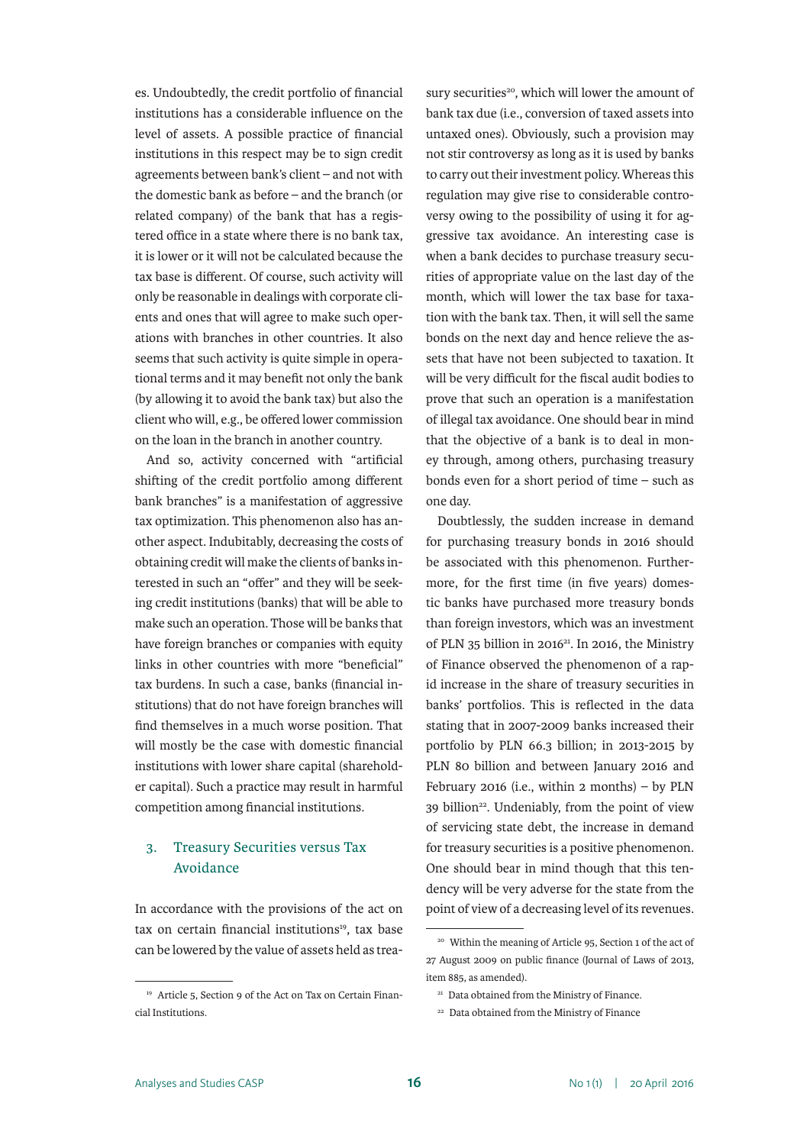es. Undoubtedly, the credit portfolio of financial institutions has a considerable influence on the level of assets. A possible practice of financial institutions in this respect may be to sign credit agreements between bank's client – and not with the domestic bank as before – and the branch (or related company) of the bank that has a registered office in a state where there is no bank tax, it is lower or it will not be calculated because the tax base is different. Of course, such activity will only be reasonable in dealings with corporate clients and ones that will agree to make such operations with branches in other countries. It also seems that such activity is quite simple in operational terms and it may benefit not only the bank (by allowing it to avoid the bank tax) but also the client who will, e.g., be offered lower commission on the loan in the branch in another country.

And so, activity concerned with "artificial shifting of the credit portfolio among different bank branches" is a manifestation of aggressive tax optimization. This phenomenon also has another aspect. Indubitably, decreasing the costs of obtaining credit will make the clients of banks interested in such an "offer" and they will be seeking credit institutions (banks) that will be able to make such an operation. Those will be banks that have foreign branches or companies with equity links in other countries with more "beneficial" tax burdens. In such a case, banks (financial institutions) that do not have foreign branches will find themselves in a much worse position. That will mostly be the case with domestic financial institutions with lower share capital (shareholder capital). Such a practice may result in harmful competition among financial institutions.

#### 3. Treasury Securities versus Tax Avoidance

In accordance with the provisions of the act on tax on certain financial institutions<sup>19</sup>, tax base can be lowered by the value of assets held as treasury securities<sup>20</sup>, which will lower the amount of bank tax due (i.e., conversion of taxed assets into untaxed ones). Obviously, such a provision may not stir controversy as long as it is used by banks to carry out their investment policy. Whereas this regulation may give rise to considerable controversy owing to the possibility of using it for aggressive tax avoidance. An interesting case is when a bank decides to purchase treasury securities of appropriate value on the last day of the month, which will lower the tax base for taxation with the bank tax. Then, it will sell the same bonds on the next day and hence relieve the assets that have not been subjected to taxation. It will be very difficult for the fiscal audit bodies to prove that such an operation is a manifestation of illegal tax avoidance. One should bear in mind that the objective of a bank is to deal in money through, among others, purchasing treasury bonds even for a short period of time – such as one day.

Doubtlessly, the sudden increase in demand for purchasing treasury bonds in 2016 should be associated with this phenomenon. Furthermore, for the first time (in five years) domestic banks have purchased more treasury bonds than foreign investors, which was an investment of PLN 35 billion in 2016 $^{21}$ . In 2016, the Ministry of Finance observed the phenomenon of a rapid increase in the share of treasury securities in banks' portfolios. This is reflected in the data stating that in 2007-2009 banks increased their portfolio by PLN 66.3 billion; in 2013-2015 by PLN 80 billion and between January 2016 and February 2016 (i.e., within 2 months) – by  $PLN$ 39 billion<sup>22</sup>. Undeniably, from the point of view of servicing state debt, the increase in demand for treasury securities is a positive phenomenon. One should bear in mind though that this tendency will be very adverse for the state from the point of view of a decreasing level of its revenues.

<sup>19</sup> Article 5, Section 9 of the Act on Tax on Certain Financial Institutions.

<sup>20</sup> Within the meaning of Article 95, Section 1 of the act of 27 August 2009 on public finance (Journal of Laws of 2013, item 885, as amended).

<sup>&</sup>lt;sup>21</sup> Data obtained from the Ministry of Finance.

<sup>22</sup> Data obtained from the Ministry of Finance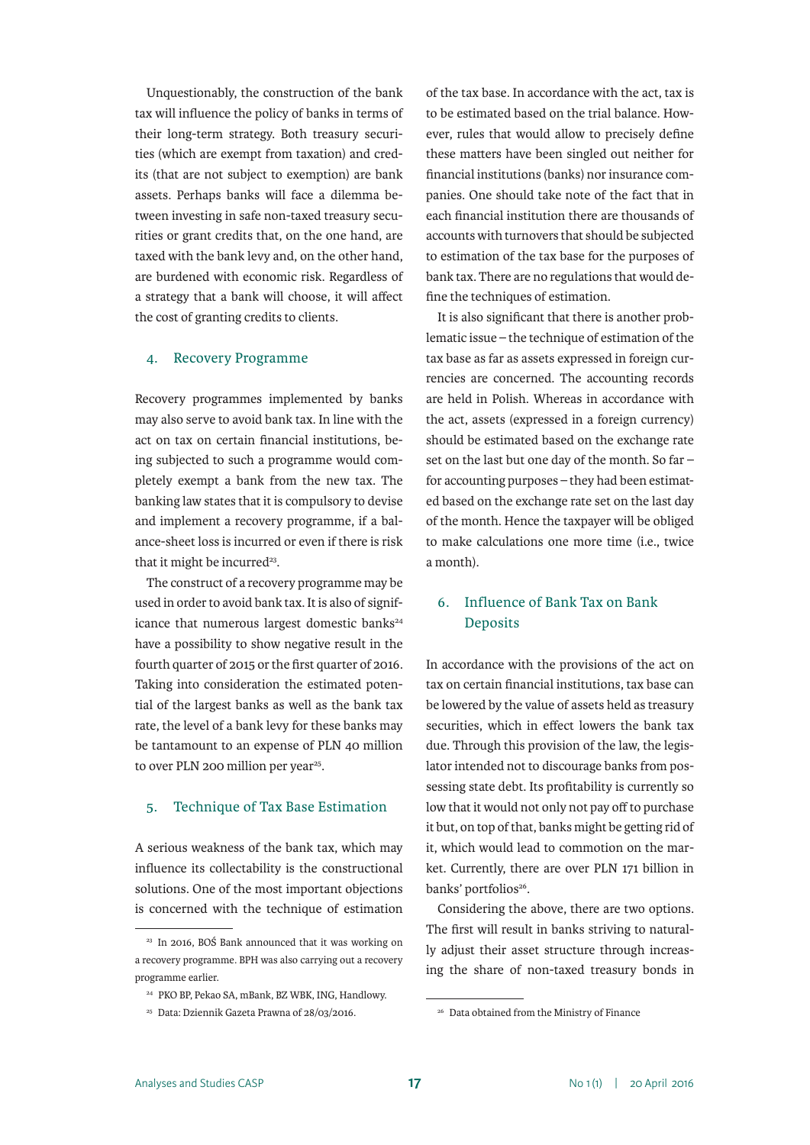Unquestionably, the construction of the bank tax will influence the policy of banks in terms of their long-term strategy. Both treasury securities (which are exempt from taxation) and credits (that are not subject to exemption) are bank assets. Perhaps banks will face a dilemma between investing in safe non-taxed treasury securities or grant credits that, on the one hand, are taxed with the bank levy and, on the other hand, are burdened with economic risk. Regardless of a strategy that a bank will choose, it will affect the cost of granting credits to clients.

#### 4. Recovery Programme

Recovery programmes implemented by banks may also serve to avoid bank tax. In line with the act on tax on certain financial institutions, being subjected to such a programme would completely exempt a bank from the new tax. The banking law states that it is compulsory to devise and implement a recovery programme, if a balance-sheet loss is incurred or even if there is risk that it might be incurred<sup>23</sup>.

The construct of a recovery programme may be used in order to avoid bank tax. It is also of significance that numerous largest domestic banks<sup>24</sup> have a possibility to show negative result in the fourth quarter of 2015 or the first quarter of 2016. Taking into consideration the estimated potential of the largest banks as well as the bank tax rate, the level of a bank levy for these banks may be tantamount to an expense of PLN 40 million to over PLN 200 million per year<sup>25</sup>.

#### 5. Technique of Tax Base Estimation

A serious weakness of the bank tax, which may influence its collectability is the constructional solutions. One of the most important objections is concerned with the technique of estimation of the tax base. In accordance with the act, tax is to be estimated based on the trial balance. However, rules that would allow to precisely define these matters have been singled out neither for financial institutions (banks) nor insurance companies. One should take note of the fact that in each financial institution there are thousands of accounts with turnovers that should be subjected to estimation of the tax base for the purposes of bank tax. There are no regulations that would define the techniques of estimation.

It is also significant that there is another problematic issue – the technique of estimation of the tax base as far as assets expressed in foreign currencies are concerned. The accounting records are held in Polish. Whereas in accordance with the act, assets (expressed in a foreign currency) should be estimated based on the exchange rate set on the last but one day of the month. So far – for accounting purposes – they had been estimated based on the exchange rate set on the last day of the month. Hence the taxpayer will be obliged to make calculations one more time (i.e., twice a month).

#### 6. Influence of Bank Tax on Bank **Deposits**

In accordance with the provisions of the act on tax on certain financial institutions, tax base can be lowered by the value of assets held as treasury securities, which in effect lowers the bank tax due. Through this provision of the law, the legislator intended not to discourage banks from possessing state debt. Its profitability is currently so low that it would not only not pay off to purchase it but, on top of that, banks might be getting rid of it, which would lead to commotion on the market. Currently, there are over PLN 171 billion in banks' portfolios<sup>26</sup>.

Considering the above, there are two options. The first will result in banks striving to naturally adjust their asset structure through increasing the share of non-taxed treasury bonds in

<sup>23</sup> In 2016, BOŚ Bank announced that it was working on a recovery programme. BPH was also carrying out a recovery programme earlier.

<sup>24</sup> PKO BP, Pekao SA, mBank, BZ WBK, ING, Handlowy.

<sup>25</sup> Data: Dziennik Gazeta Prawna of 28/03/2016.

<sup>26</sup> Data obtained from the Ministry of Finance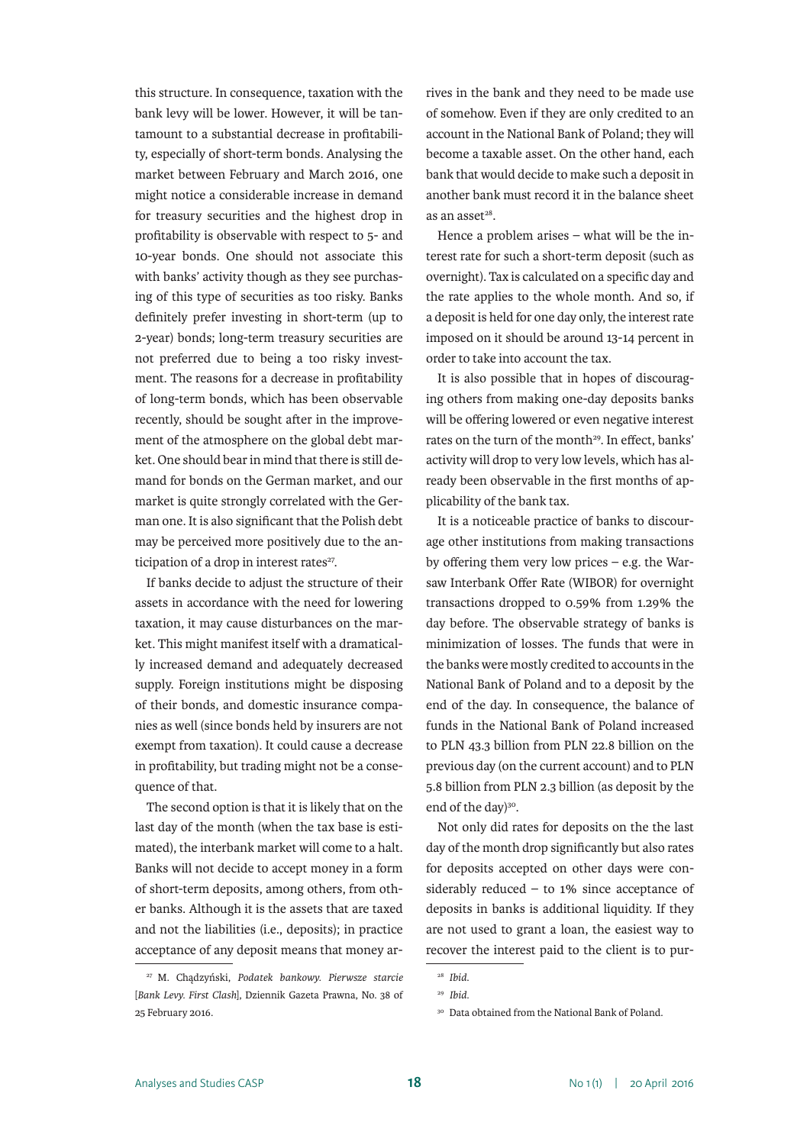this structure. In consequence, taxation with the bank levy will be lower. However, it will be tantamount to a substantial decrease in profitability, especially of short-term bonds. Analysing the market between February and March 2016, one might notice a considerable increase in demand for treasury securities and the highest drop in profitability is observable with respect to 5- and 10-year bonds. One should not associate this with banks' activity though as they see purchasing of this type of securities as too risky. Banks definitely prefer investing in short-term (up to 2-year) bonds; long-term treasury securities are not preferred due to being a too risky investment. The reasons for a decrease in profitability of long-term bonds, which has been observable recently, should be sought after in the improvement of the atmosphere on the global debt market. One should bear in mind that there is still demand for bonds on the German market, and our market is quite strongly correlated with the German one. It is also significant that the Polish debt may be perceived more positively due to the anticipation of a drop in interest rates<sup>27</sup>.

If banks decide to adjust the structure of their assets in accordance with the need for lowering taxation, it may cause disturbances on the market. This might manifest itself with a dramatically increased demand and adequately decreased supply. Foreign institutions might be disposing of their bonds, and domestic insurance companies as well (since bonds held by insurers are not exempt from taxation). It could cause a decrease in profitability, but trading might not be a consequence of that.

The second option is that it is likely that on the last day of the month (when the tax base is estimated), the interbank market will come to a halt. Banks will not decide to accept money in a form of short-term deposits, among others, from other banks. Although it is the assets that are taxed and not the liabilities (i.e., deposits); in practice acceptance of any deposit means that money arrives in the bank and they need to be made use of somehow. Even if they are only credited to an account in the National Bank of Poland; they will become a taxable asset. On the other hand, each bank that would decide to make such a deposit in another bank must record it in the balance sheet as an asset $28$ .

Hence a problem arises – what will be the interest rate for such a short-term deposit (such as overnight). Tax is calculated on a specific day and the rate applies to the whole month. And so, if a deposit is held for one day only, the interest rate imposed on it should be around 13-14 percent in order to take into account the tax.

It is also possible that in hopes of discouraging others from making one-day deposits banks will be offering lowered or even negative interest rates on the turn of the month<sup>29</sup>. In effect, banks' activity will drop to very low levels, which has already been observable in the first months of applicability of the bank tax.

It is a noticeable practice of banks to discourage other institutions from making transactions by offering them very low prices – e.g. the Warsaw Interbank Offer Rate (WIBOR) for overnight transactions dropped to 0.59% from 1.29% the day before. The observable strategy of banks is minimization of losses. The funds that were in the banks were mostly credited to accounts in the National Bank of Poland and to a deposit by the end of the day. In consequence, the balance of funds in the National Bank of Poland increased to PLN 43.3 billion from PLN 22.8 billion on the previous day (on the current account) and to PLN 5.8 billion from PLN 2.3 billion (as deposit by the end of the day)<sup>30</sup>.

Not only did rates for deposits on the the last day of the month drop significantly but also rates for deposits accepted on other days were considerably reduced – to 1% since acceptance of deposits in banks is additional liquidity. If they are not used to grant a loan, the easiest way to recover the interest paid to the client is to pur-

<sup>27</sup> M. Chądzyński, *Podatek bankowy. Pierwsze starcie* [*Bank Levy. First Clash*], Dziennik Gazeta Prawna, No. 38 of 25 February 2016.

<sup>28</sup> *Ibid*.

<sup>29</sup> *Ibid.*

<sup>30</sup> Data obtained from the National Bank of Poland.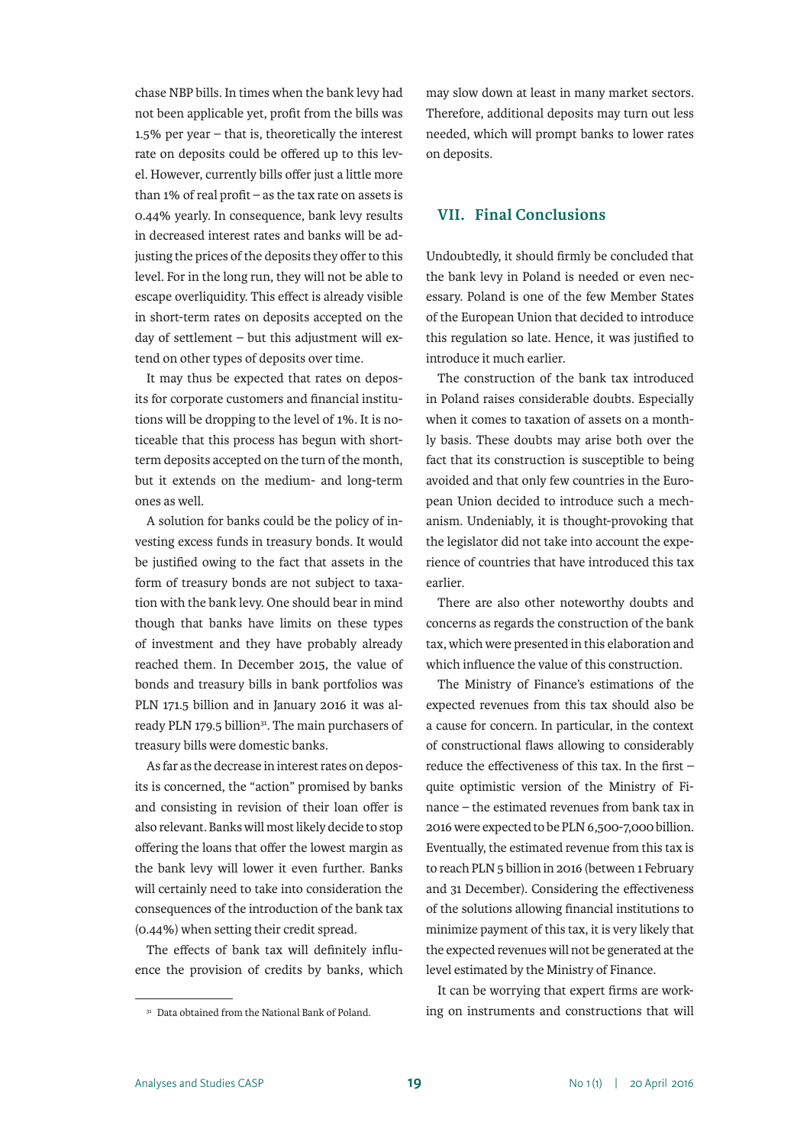chase NBP bills. In times when the bank levy had not been applicable yet, profit from the bills was 1.5% per year – that is, theoretically the interest rate on deposits could be offered up to this level. However, currently bills offer just a little more than 1% of real profit – as the tax rate on assets is 0.44% yearly. In consequence, bank levy results in decreased interest rates and banks will be adjusting the prices of the deposits they offer to this level. For in the long run, they will not be able to escape overliquidity. This effect is already visible in short-term rates on deposits accepted on the day of settlement – but this adjustment will extend on other types of deposits over time.

It may thus be expected that rates on deposits for corporate customers and financial institutions will be dropping to the level of 1%. It is noticeable that this process has begun with shortterm deposits accepted on the turn of the month, but it extends on the medium- and long-term ones as well.

A solution for banks could be the policy of investing excess funds in treasury bonds. It would be justified owing to the fact that assets in the form of treasury bonds are not subject to taxation with the bank levy. One should bear in mind though that banks have limits on these types of investment and they have probably already reached them. In December 2015, the value of bonds and treasury bills in bank portfolios was PLN 171.5 billion and in January 2016 it was already PLN 179.5 billion<sup>31</sup>. The main purchasers of treasury bills were domestic banks.

As far as the decrease in interest rates on deposits is concerned, the "action" promised by banks and consisting in revision of their loan offer is also relevant. Banks will most likely decide to stop offering the loans that offer the lowest margin as the bank levy will lower it even further. Banks will certainly need to take into consideration the consequences of the introduction of the bank tax (0.44%) when setting their credit spread.

The effects of bank tax will definitely influence the provision of credits by banks, which

<sup>31</sup> Data obtained from the National Bank of Poland.

may slow down at least in many market sectors. Therefore, additional deposits may turn out less needed, which will prompt banks to lower rates on deposits.

#### **VII. Final Conclusions**

Undoubtedly, it should firmly be concluded that the bank levy in Poland is needed or even necessary. Poland is one of the few Member States of the European Union that decided to introduce this regulation so late. Hence, it was justified to introduce it much earlier.

The construction of the bank tax introduced in Poland raises considerable doubts. Especially when it comes to taxation of assets on a monthly basis. These doubts may arise both over the fact that its construction is susceptible to being avoided and that only few countries in the European Union decided to introduce such a mechanism. Undeniably, it is thought-provoking that the legislator did not take into account the experience of countries that have introduced this tax earlier.

There are also other noteworthy doubts and concerns as regards the construction of the bank tax, which were presented in this elaboration and which influence the value of this construction.

The Ministry of Finance's estimations of the expected revenues from this tax should also be a cause for concern. In particular, in the context of constructional flaws allowing to considerably reduce the effectiveness of this tax. In the first – quite optimistic version of the Ministry of Finance – the estimated revenues from bank tax in 2016 were expected to be PLN 6,500-7,000 billion. Eventually, the estimated revenue from this tax is to reach PLN 5 billion in 2016 (between 1 February and 31 December). Considering the effectiveness of the solutions allowing financial institutions to minimize payment of this tax, it is very likely that the expected revenues will not be generated at the level estimated by the Ministry of Finance.

It can be worrying that expert firms are working on instruments and constructions that will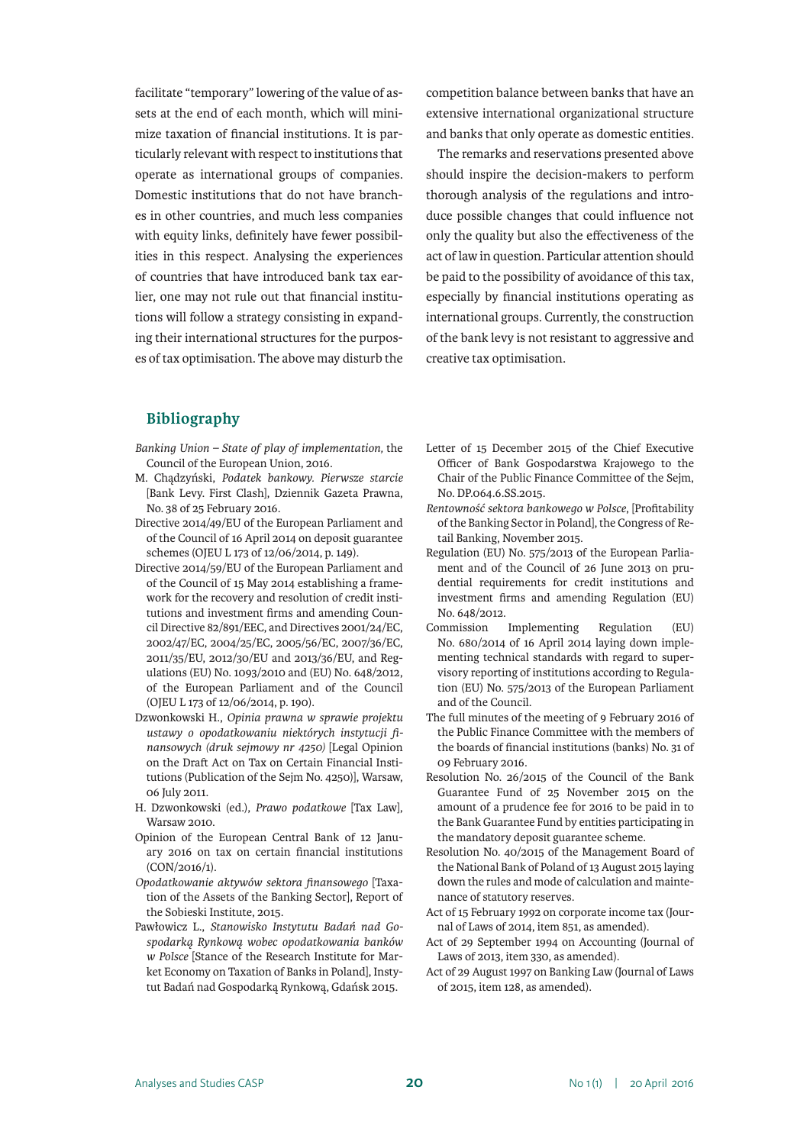facilitate "temporary" lowering of the value of assets at the end of each month, which will minimize taxation of financial institutions. It is particularly relevant with respect to institutions that operate as international groups of companies. Domestic institutions that do not have branches in other countries, and much less companies with equity links, definitely have fewer possibilities in this respect. Analysing the experiences of countries that have introduced bank tax earlier, one may not rule out that financial institutions will follow a strategy consisting in expanding their international structures for the purposes of tax optimisation. The above may disturb the competition balance between banks that have an extensive international organizational structure and banks that only operate as domestic entities.

The remarks and reservations presented above should inspire the decision-makers to perform thorough analysis of the regulations and introduce possible changes that could influence not only the quality but also the effectiveness of the act of law in question. Particular attention should be paid to the possibility of avoidance of this tax, especially by financial institutions operating as international groups. Currently, the construction of the bank levy is not resistant to aggressive and creative tax optimisation.

#### **Bibliography**

- *Banking Union State of play of implementation,* the Council of the European Union, 2016.
- M. Chądzyński, *Podatek bankowy. Pierwsze starcie* [Bank Levy. First Clash], Dziennik Gazeta Prawna, No. 38 of 25 February 2016.
- Directive 2014/49/EU of the European Parliament and of the Council of 16 April 2014 on deposit guarantee schemes (OJEU L 173 of 12/06/2014, p. 149).
- Directive 2014/59/EU of the European Parliament and of the Council of 15 May 2014 establishing a framework for the recovery and resolution of credit institutions and investment firms and amending Council Directive 82/891/EEC, and Directives 2001/24/EC, 2002/47/EC, 2004/25/EC, 2005/56/EC, 2007/36/EC, 2011/35/EU, 2012/30/EU and 2013/36/EU, and Regulations (EU) No. 1093/2010 and (EU) No. 648/2012, of the European Parliament and of the Council (OJEU L 173 of 12/06/2014, p. 190).
- Dzwonkowski H., *Opinia prawna w sprawie projektu ustawy o opodatkowaniu niektórych instytucji finansowych (druk sejmowy nr 4250)* [Legal Opinion on the Draft Act on Tax on Certain Financial Institutions (Publication of the Sejm No. 4250)], Warsaw, 06 July 2011.
- H. Dzwonkowski (ed.), *Prawo podatkowe* [Tax Law], Warsaw 2010.
- Opinion of the European Central Bank of 12 January 2016 on tax on certain financial institutions (CON/2016/1).
- *Opodatkowanie aktywów sektora finansowego* [Taxation of the Assets of the Banking Sector], Report of the Sobieski Institute, 2015.
- Pawłowicz L., *Stanowisko Instytutu Badań nad Gospodarką Rynkową wobec opodatkowania banków w Polsce* [Stance of the Research Institute for Market Economy on Taxation of Banks in Poland], Instytut Badań nad Gospodarką Rynkową, Gdańsk 2015.
- Letter of 15 December 2015 of the Chief Executive Officer of Bank Gospodarstwa Krajowego to the Chair of the Public Finance Committee of the Sejm, No. DP.064.6.SS.2015.
- *Rentowność sektora bankowego w Polsce*, [Profitability of the Banking Sector in Poland], the Congress of Retail Banking, November 2015.
- Regulation (EU) No. 575/2013 of the European Parliament and of the Council of 26 June 2013 on prudential requirements for credit institutions and investment firms and amending Regulation (EU) No. 648/2012.
- Commission Implementing Regulation (EU) No. 680/2014 of 16 April 2014 laying down implementing technical standards with regard to supervisory reporting of institutions according to Regulation (EU) No. 575/2013 of the European Parliament and of the Council.
- The full minutes of the meeting of 9 February 2016 of the Public Finance Committee with the members of the boards of financial institutions (banks) No. 31 of 09 February 2016.
- Resolution No. 26/2015 of the Council of the Bank Guarantee Fund of 25 November 2015 on the amount of a prudence fee for 2016 to be paid in to the Bank Guarantee Fund by entities participating in the mandatory deposit guarantee scheme.
- Resolution No. 40/2015 of the Management Board of the National Bank of Poland of 13 August 2015 laying down the rules and mode of calculation and maintenance of statutory reserves.
- Act of 15 February 1992 on corporate income tax (Journal of Laws of 2014, item 851, as amended).
- Act of 29 September 1994 on Accounting (Journal of Laws of 2013, item 330, as amended).
- Act of 29 August 1997 on Banking Law (Journal of Laws of 2015, item 128, as amended).